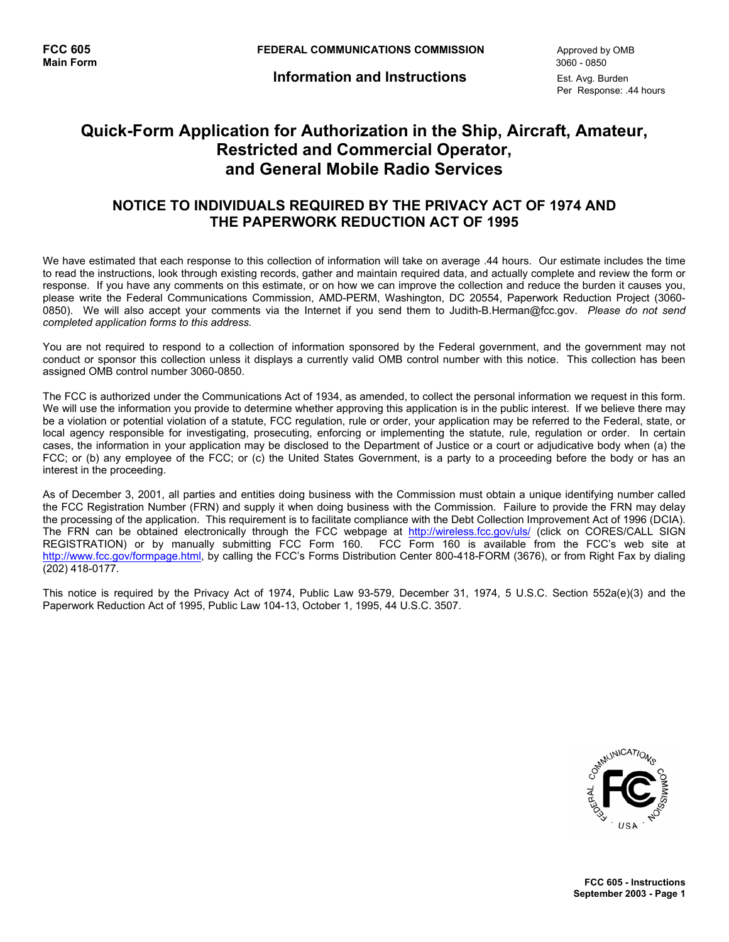**Information and Instructions** Est. Avg. Burden

Per Response: .44 hours

# **Quick-Form Application for Authorization in the Ship, Aircraft, Amateur, Restricted and Commercial Operator, and General Mobile Radio Services**

## **NOTICE TO INDIVIDUALS REQUIRED BY THE PRIVACY ACT OF 1974 AND THE PAPERWORK REDUCTION ACT OF 1995**

We have estimated that each response to this collection of information will take on average .44 hours. Our estimate includes the time to read the instructions, look through existing records, gather and maintain required data, and actually complete and review the form or response. If you have any comments on this estimate, or on how we can improve the collection and reduce the burden it causes you, please write the Federal Communications Commission, AMD-PERM, Washington, DC 20554, Paperwork Reduction Project (3060- 0850). We will also accept your comments via the Internet if you send them to Judith-B.Herman@fcc.gov. *Please do not send completed application forms to this address.*

You are not required to respond to a collection of information sponsored by the Federal government, and the government may not conduct or sponsor this collection unless it displays a currently valid OMB control number with this notice. This collection has been assigned OMB control number 3060-0850.

The FCC is authorized under the Communications Act of 1934, as amended, to collect the personal information we request in this form. We will use the information you provide to determine whether approving this application is in the public interest. If we believe there may be a violation or potential violation of a statute, FCC regulation, rule or order, your application may be referred to the Federal, state, or local agency responsible for investigating, prosecuting, enforcing or implementing the statute, rule, regulation or order. In certain cases, the information in your application may be disclosed to the Department of Justice or a court or adjudicative body when (a) the FCC; or (b) any employee of the FCC; or (c) the United States Government, is a party to a proceeding before the body or has an interest in the proceeding.

As of December 3, 2001, all parties and entities doing business with the Commission must obtain a unique identifying number called the FCC Registration Number (FRN) and supply it when doing business with the Commission. Failure to provide the FRN may delay the processing of the application. This requirement is to facilitate compliance with the Debt Collection Improvement Act of 1996 (DCIA). The FRN can be obtained electronically through the FCC webpage at http://wireless.fcc.gov/uls/ (click on CORES/CALL SIGN REGISTRATION) or by manually submitting FCC Form 160. FCC Form 160 is available from the FCC's web site at http://www.fcc.gov/formpage.html, by calling the FCC's Forms Distribution Center 800-418-FORM (3676), or from Right Fax by dialing (202) 418-0177.

This notice is required by the Privacy Act of 1974, Public Law 93-579, December 31, 1974, 5 U.S.C. Section 552a(e)(3) and the Paperwork Reduction Act of 1995, Public Law 104-13, October 1, 1995, 44 U.S.C. 3507.

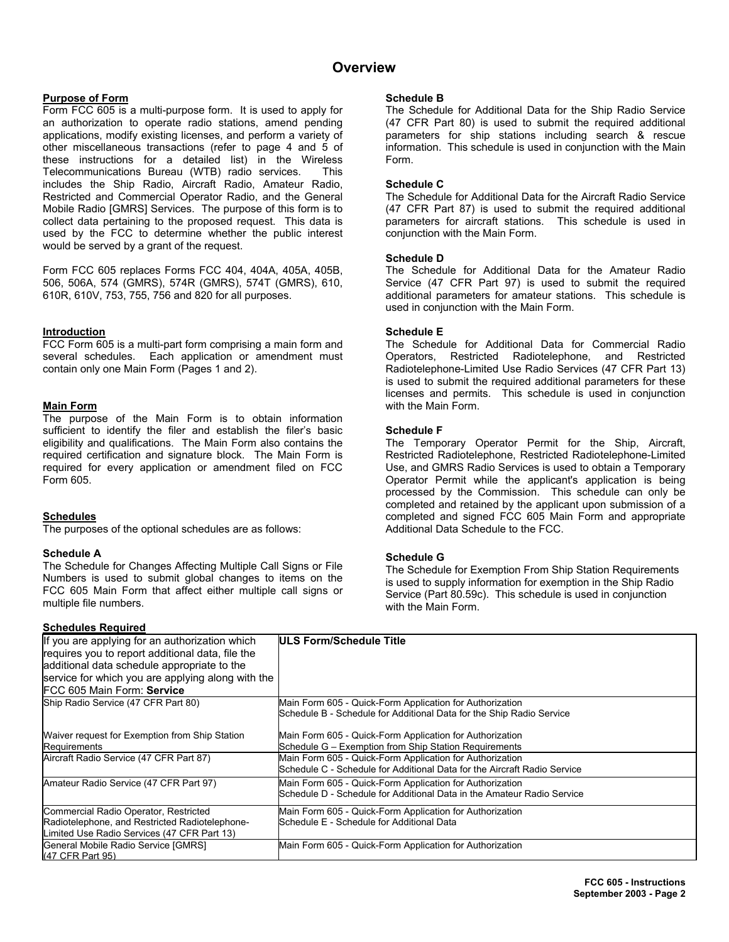## **Overview**

### **Purpose of Form**

Form FCC 605 is a multi-purpose form. It is used to apply for an authorization to operate radio stations, amend pending applications, modify existing licenses, and perform a variety of other miscellaneous transactions (refer to page 4 and 5 of these instructions for a detailed list) in the Wireless Telecommunications Bureau (WTB) radio services. This includes the Ship Radio, Aircraft Radio, Amateur Radio, Restricted and Commercial Operator Radio, and the General Mobile Radio [GMRS] Services. The purpose of this form is to collect data pertaining to the proposed request. This data is used by the FCC to determine whether the public interest would be served by a grant of the request.

Form FCC 605 replaces Forms FCC 404, 404A, 405A, 405B, 506, 506A, 574 (GMRS), 574R (GMRS), 574T (GMRS), 610, 610R, 610V, 753, 755, 756 and 820 for all purposes.

#### **Introduction**

FCC Form 605 is a multi-part form comprising a main form and several schedules. Each application or amendment must contain only one Main Form (Pages 1 and 2).

#### **Main Form**

The purpose of the Main Form is to obtain information sufficient to identify the filer and establish the filer's basic eligibility and qualifications. The Main Form also contains the required certification and signature block. The Main Form is required for every application or amendment filed on FCC Form 605.

### **Schedules**

The purposes of the optional schedules are as follows:

#### **Schedule A**

The Schedule for Changes Affecting Multiple Call Signs or File Numbers is used to submit global changes to items on the FCC 605 Main Form that affect either multiple call signs or multiple file numbers.

### **Schedules Required**

#### **Schedule B**

The Schedule for Additional Data for the Ship Radio Service (47 CFR Part 80) is used to submit the required additional parameters for ship stations including search & rescue information. This schedule is used in conjunction with the Main Form.

#### **Schedule C**

The Schedule for Additional Data for the Aircraft Radio Service (47 CFR Part 87) is used to submit the required additional parameters for aircraft stations. This schedule is used in conjunction with the Main Form.

#### **Schedule D**

The Schedule for Additional Data for the Amateur Radio Service (47 CFR Part 97) is used to submit the required additional parameters for amateur stations. This schedule is used in conjunction with the Main Form.

#### **Schedule E**

The Schedule for Additional Data for Commercial Radio Operators, Restricted Radiotelephone, and Restricted Radiotelephone-Limited Use Radio Services (47 CFR Part 13) is used to submit the required additional parameters for these licenses and permits. This schedule is used in conjunction with the Main Form.

#### **Schedule F**

The Temporary Operator Permit for the Ship, Aircraft, Restricted Radiotelephone, Restricted Radiotelephone-Limited Use, and GMRS Radio Services is used to obtain a Temporary Operator Permit while the applicant's application is being processed by the Commission. This schedule can only be completed and retained by the applicant upon submission of a completed and signed FCC 605 Main Form and appropriate Additional Data Schedule to the FCC.

### **Schedule G**

The Schedule for Exemption From Ship Station Requirements is used to supply information for exemption in the Ship Radio Service (Part 80.59c). This schedule is used in conjunction with the Main Form.

| If you are applying for an authorization which<br>requires you to report additional data, file the | ULS Form/Schedule Title                                                  |
|----------------------------------------------------------------------------------------------------|--------------------------------------------------------------------------|
| additional data schedule appropriate to the                                                        |                                                                          |
| service for which you are applying along with the                                                  |                                                                          |
| FCC 605 Main Form: Service                                                                         |                                                                          |
| Ship Radio Service (47 CFR Part 80)                                                                | Main Form 605 - Quick-Form Application for Authorization                 |
|                                                                                                    | Schedule B - Schedule for Additional Data for the Ship Radio Service     |
| Waiver request for Exemption from Ship Station                                                     | Main Form 605 - Quick-Form Application for Authorization                 |
| Requirements                                                                                       | Schedule G - Exemption from Ship Station Requirements                    |
| Aircraft Radio Service (47 CFR Part 87)                                                            | Main Form 605 - Quick-Form Application for Authorization                 |
|                                                                                                    | Schedule C - Schedule for Additional Data for the Aircraft Radio Service |
| Amateur Radio Service (47 CFR Part 97)                                                             | Main Form 605 - Quick-Form Application for Authorization                 |
|                                                                                                    | Schedule D - Schedule for Additional Data in the Amateur Radio Service   |
| Commercial Radio Operator, Restricted                                                              | Main Form 605 - Quick-Form Application for Authorization                 |
| Radiotelephone, and Restricted Radiotelephone-                                                     | Schedule E - Schedule for Additional Data                                |
| Limited Use Radio Services (47 CFR Part 13)                                                        |                                                                          |
| General Mobile Radio Service [GMRS]                                                                | Main Form 605 - Quick-Form Application for Authorization                 |
| (47 CFR Part 95)                                                                                   |                                                                          |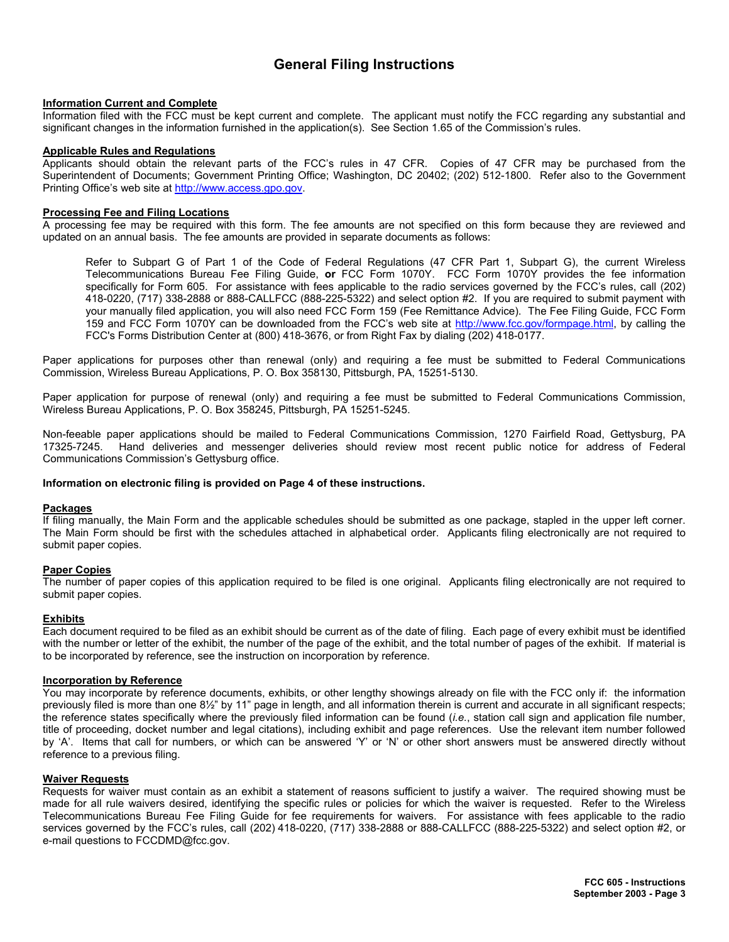## **General Filing Instructions**

#### **Information Current and Complete**

Information filed with the FCC must be kept current and complete. The applicant must notify the FCC regarding any substantial and significant changes in the information furnished in the application(s). See Section 1.65 of the Commission's rules.

#### **Applicable Rules and Regulations**

Applicants should obtain the relevant parts of the FCC's rules in 47 CFR. Copies of 47 CFR may be purchased from the Superintendent of Documents; Government Printing Office; Washington, DC 20402; (202) 512-1800. Refer also to the Government Printing Office's web site at http://www.access.gpo.gov.

#### **Processing Fee and Filing Locations**

A processing fee may be required with this form. The fee amounts are not specified on this form because they are reviewed and updated on an annual basis. The fee amounts are provided in separate documents as follows:

 Refer to Subpart G of Part 1 of the Code of Federal Regulations (47 CFR Part 1, Subpart G), the current Wireless Telecommunications Bureau Fee Filing Guide, **or** FCC Form 1070Y. FCC Form 1070Y provides the fee information specifically for Form 605. For assistance with fees applicable to the radio services governed by the FCC's rules, call (202) 418-0220, (717) 338-2888 or 888-CALLFCC (888-225-5322) and select option #2. If you are required to submit payment with your manually filed application, you will also need FCC Form 159 (Fee Remittance Advice). The Fee Filing Guide, FCC Form 159 and FCC Form 1070Y can be downloaded from the FCC's web site at http://www.fcc.gov/formpage.html, by calling the FCC's Forms Distribution Center at (800) 418-3676, or from Right Fax by dialing (202) 418-0177.

Paper applications for purposes other than renewal (only) and requiring a fee must be submitted to Federal Communications Commission, Wireless Bureau Applications, P. O. Box 358130, Pittsburgh, PA, 15251-5130.

Paper application for purpose of renewal (only) and requiring a fee must be submitted to Federal Communications Commission, Wireless Bureau Applications, P. O. Box 358245, Pittsburgh, PA 15251-5245.

Non-feeable paper applications should be mailed to Federal Communications Commission, 1270 Fairfield Road, Gettysburg, PA 17325-7245. Hand deliveries and messenger deliveries should review most recent public notice for address of Federal Communications Commission's Gettysburg office.

#### **Information on electronic filing is provided on Page 4 of these instructions.**

#### **Packages**

If filing manually, the Main Form and the applicable schedules should be submitted as one package, stapled in the upper left corner. The Main Form should be first with the schedules attached in alphabetical order. Applicants filing electronically are not required to submit paper copies.

#### **Paper Copies**

The number of paper copies of this application required to be filed is one original. Applicants filing electronically are not required to submit paper copies.

#### **Exhibits**

Each document required to be filed as an exhibit should be current as of the date of filing. Each page of every exhibit must be identified with the number or letter of the exhibit, the number of the page of the exhibit, and the total number of pages of the exhibit. If material is to be incorporated by reference, see the instruction on incorporation by reference.

#### **Incorporation by Reference**

You may incorporate by reference documents, exhibits, or other lengthy showings already on file with the FCC only if: the information previously filed is more than one 8½" by 11" page in length, and all information therein is current and accurate in all significant respects; the reference states specifically where the previously filed information can be found (*i.e.*, station call sign and application file number, title of proceeding, docket number and legal citations), including exhibit and page references. Use the relevant item number followed by 'A'. Items that call for numbers, or which can be answered 'Y' or 'N' or other short answers must be answered directly without reference to a previous filing.

#### **Waiver Requests**

Requests for waiver must contain as an exhibit a statement of reasons sufficient to justify a waiver. The required showing must be made for all rule waivers desired, identifying the specific rules or policies for which the waiver is requested. Refer to the Wireless Telecommunications Bureau Fee Filing Guide for fee requirements for waivers. For assistance with fees applicable to the radio services governed by the FCC's rules, call (202) 418-0220, (717) 338-2888 or 888-CALLFCC (888-225-5322) and select option #2, or e-mail questions to FCCDMD@fcc.gov.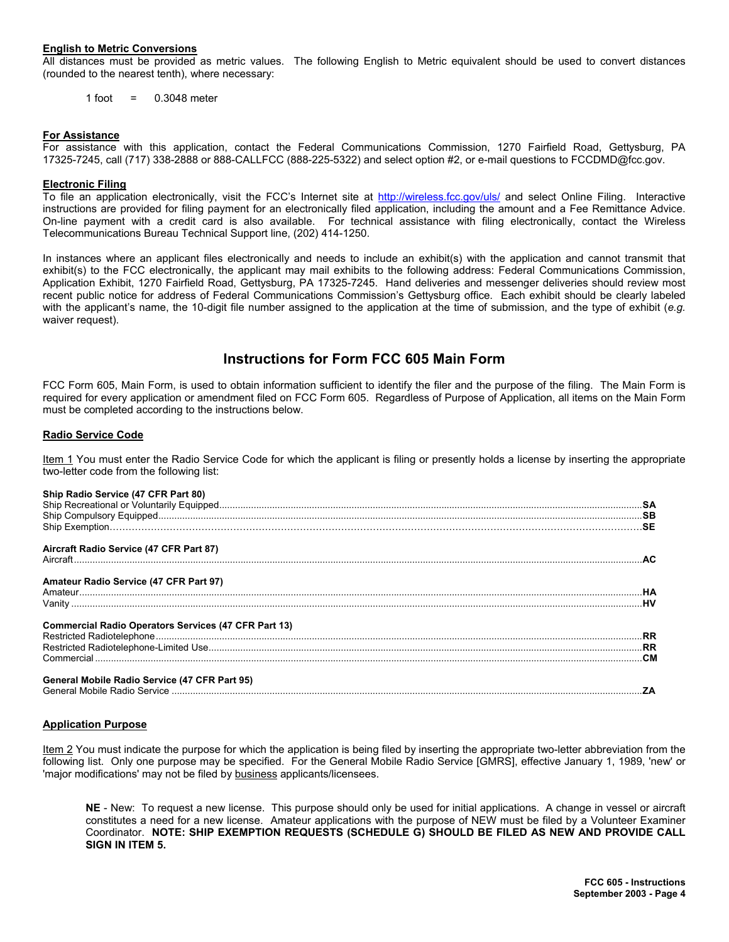#### **English to Metric Conversions**

All distances must be provided as metric values. The following English to Metric equivalent should be used to convert distances (rounded to the nearest tenth), where necessary:

 $1$  foot =  $0.3048$  meter

#### **For Assistance**

For assistance with this application, contact the Federal Communications Commission, 1270 Fairfield Road, Gettysburg, PA 17325-7245, call (717) 338-2888 or 888-CALLFCC (888-225-5322) and select option #2, or e-mail questions to FCCDMD@fcc.gov.

#### **Electronic Filing**

To file an application electronically, visit the FCC's Internet site at http://wireless.fcc.gov/uls/ and select Online Filing. Interactive instructions are provided for filing payment for an electronically filed application, including the amount and a Fee Remittance Advice. On-line payment with a credit card is also available. For technical assistance with filing electronically, contact the Wireless Telecommunications Bureau Technical Support line, (202) 414-1250.

In instances where an applicant files electronically and needs to include an exhibit(s) with the application and cannot transmit that exhibit(s) to the FCC electronically, the applicant may mail exhibits to the following address: Federal Communications Commission, Application Exhibit, 1270 Fairfield Road, Gettysburg, PA 17325-7245. Hand deliveries and messenger deliveries should review most recent public notice for address of Federal Communications Commission's Gettysburg office. Each exhibit should be clearly labeled with the applicant's name, the 10-digit file number assigned to the application at the time of submission, and the type of exhibit (*e.g.* waiver request).

## **Instructions for Form FCC 605 Main Form**

FCC Form 605, Main Form, is used to obtain information sufficient to identify the filer and the purpose of the filing. The Main Form is required for every application or amendment filed on FCC Form 605. Regardless of Purpose of Application, all items on the Main Form must be completed according to the instructions below.

#### **Radio Service Code**

Item 1 You must enter the Radio Service Code for which the applicant is filing or presently holds a license by inserting the appropriate two-letter code from the following list:

#### **Ship Radio Service (47 CFR Part 80)**

| $\frac{1}{2}$ $\frac{1}{2}$ $\frac{1}{2}$ $\frac{1}{2}$     |           |
|-------------------------------------------------------------|-----------|
|                                                             |           |
|                                                             |           |
|                                                             |           |
| Aircraft Radio Service (47 CFR Part 87)                     |           |
|                                                             |           |
| Amateur Radio Service (47 CFR Part 97)                      |           |
|                                                             |           |
|                                                             | <b>HV</b> |
| <b>Commercial Radio Operators Services (47 CFR Part 13)</b> |           |
|                                                             |           |
|                                                             |           |
|                                                             | <b>CM</b> |
| General Mobile Radio Service (47 CFR Part 95)               |           |
|                                                             |           |

#### **Application Purpose**

Item 2 You must indicate the purpose for which the application is being filed by inserting the appropriate two-letter abbreviation from the following list. Only one purpose may be specified. For the General Mobile Radio Service [GMRS], effective January 1, 1989, 'new' or 'major modifications' may not be filed by business applicants/licensees.

**NE** - New: To request a new license. This purpose should only be used for initial applications. A change in vessel or aircraft constitutes a need for a new license. Amateur applications with the purpose of NEW must be filed by a Volunteer Examiner Coordinator. **NOTE: SHIP EXEMPTION REQUESTS (SCHEDULE G) SHOULD BE FILED AS NEW AND PROVIDE CALL SIGN IN ITEM 5.**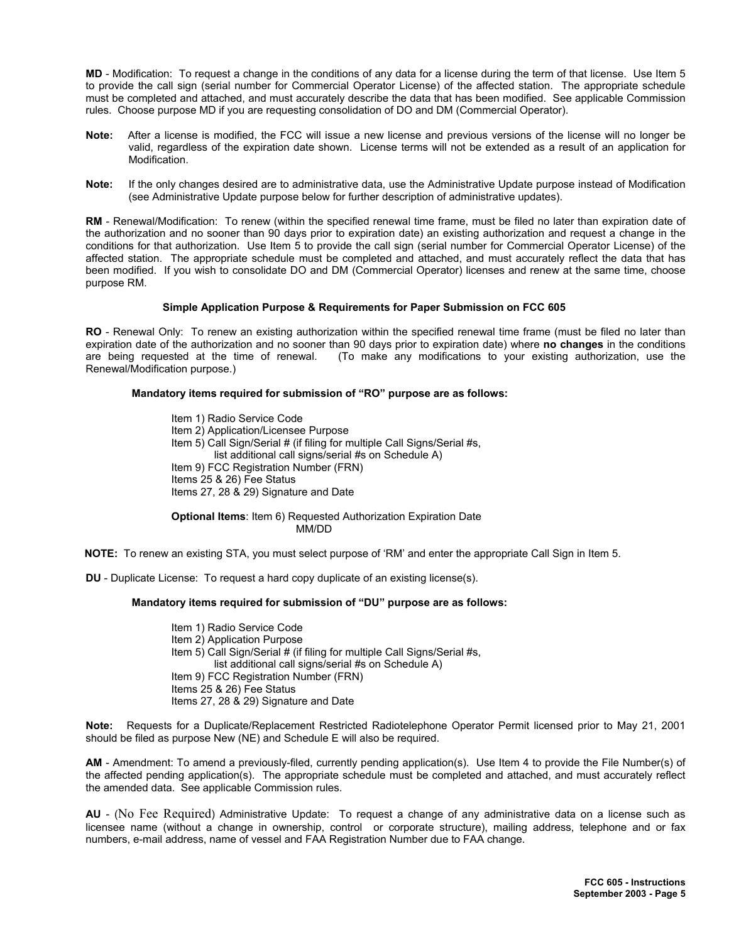**MD** - Modification: To request a change in the conditions of any data for a license during the term of that license. Use Item 5 to provide the call sign (serial number for Commercial Operator License) of the affected station. The appropriate schedule must be completed and attached, and must accurately describe the data that has been modified. See applicable Commission rules. Choose purpose MD if you are requesting consolidation of DO and DM (Commercial Operator).

- **Note:** After a license is modified, the FCC will issue a new license and previous versions of the license will no longer be valid, regardless of the expiration date shown. License terms will not be extended as a result of an application for Modification.
- **Note:** If the only changes desired are to administrative data, use the Administrative Update purpose instead of Modification (see Administrative Update purpose below for further description of administrative updates).

**RM** - Renewal/Modification: To renew (within the specified renewal time frame, must be filed no later than expiration date of the authorization and no sooner than 90 days prior to expiration date) an existing authorization and request a change in the conditions for that authorization. Use Item 5 to provide the call sign (serial number for Commercial Operator License) of the affected station. The appropriate schedule must be completed and attached, and must accurately reflect the data that has been modified. If you wish to consolidate DO and DM (Commercial Operator) licenses and renew at the same time, choose purpose RM.

#### **Simple Application Purpose & Requirements for Paper Submission on FCC 605**

 **RO** - Renewal Only: To renew an existing authorization within the specified renewal time frame (must be filed no later than expiration date of the authorization and no sooner than 90 days prior to expiration date) where **no changes** in the conditions are being requested at the time of renewal. (To make any modifications to your existing authorization, use the Renewal/Modification purpose.)

### **Mandatory items required for submission of "RO" purpose are as follows:**

 Item 1) Radio Service Code Item 2) Application/Licensee Purpose Item 5) Call Sign/Serial # (if filing for multiple Call Signs/Serial #s, list additional call signs/serial #s on Schedule A) Item 9) FCC Registration Number (FRN) Items 25 & 26) Fee Status Items 27, 28 & 29) Signature and Date

 **Optional Items**: Item 6) Requested Authorization Expiration Date MM/DD

**NOTE:** To renew an existing STA, you must select purpose of 'RM' and enter the appropriate Call Sign in Item 5.

**DU** - Duplicate License: To request a hard copy duplicate of an existing license(s).

#### **Mandatory items required for submission of "DU" purpose are as follows:**

 Item 1) Radio Service Code Item 2) Application Purpose Item 5) Call Sign/Serial # (if filing for multiple Call Signs/Serial #s, list additional call signs/serial #s on Schedule A) Item 9) FCC Registration Number (FRN) Items 25 & 26) Fee Status Items 27, 28 & 29) Signature and Date

 **Note:** Requests for a Duplicate/Replacement Restricted Radiotelephone Operator Permit licensed prior to May 21, 2001 should be filed as purpose New (NE) and Schedule E will also be required.

 **AM** - Amendment: To amend a previously-filed, currently pending application(s). Use Item 4 to provide the File Number(s) of the affected pending application(s). The appropriate schedule must be completed and attached, and must accurately reflect the amended data. See applicable Commission rules.

**AU** - (No Fee Required) Administrative Update: To request a change of any administrative data on a license such as licensee name (without a change in ownership, control or corporate structure), mailing address, telephone and or fax numbers, e-mail address, name of vessel and FAA Registration Number due to FAA change.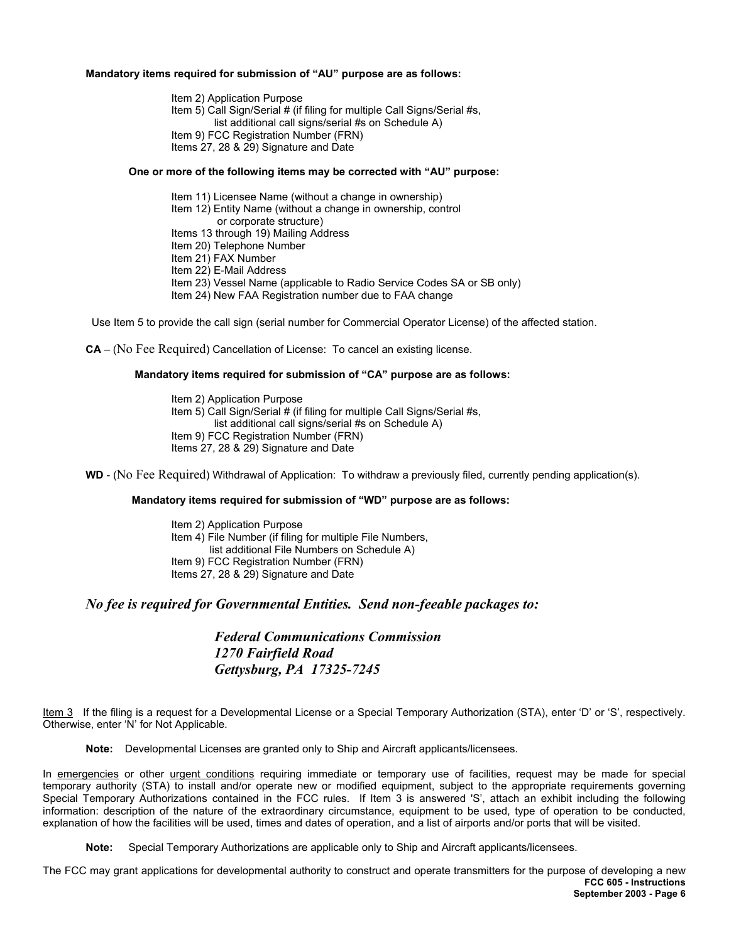#### **Mandatory items required for submission of "AU" purpose are as follows:**

 Item 2) Application Purpose Item 5) Call Sign/Serial # (if filing for multiple Call Signs/Serial #s, list additional call signs/serial #s on Schedule A) Item 9) FCC Registration Number (FRN) Items 27, 28 & 29) Signature and Date

#### **One or more of the following items may be corrected with "AU" purpose:**

Item 11) Licensee Name (without a change in ownership)

Item 12) Entity Name (without a change in ownership, control

or corporate structure)

Items 13 through 19) Mailing Address

Item 20) Telephone Number

Item 21) FAX Number

Item 22) E-Mail Address

Item 23) Vessel Name (applicable to Radio Service Codes SA or SB only)

Item 24) New FAA Registration number due to FAA change

Use Item 5 to provide the call sign (serial number for Commercial Operator License) of the affected station.

**CA** – (No Fee Required) Cancellation of License: To cancel an existing license.

#### **Mandatory items required for submission of "CA" purpose are as follows:**

 Item 2) Application Purpose Item 5) Call Sign/Serial # (if filing for multiple Call Signs/Serial #s, list additional call signs/serial #s on Schedule A) Item 9) FCC Registration Number (FRN) Items 27, 28 & 29) Signature and Date

 **WD** - (No Fee Required) Withdrawal of Application: To withdraw a previously filed, currently pending application(s).

#### **Mandatory items required for submission of "WD" purpose are as follows:**

**Item 2) Application Purpose** Item 4) File Number (if filing for multiple File Numbers, list additional File Numbers on Schedule A) Item 9) FCC Registration Number (FRN) Items 27, 28 & 29) Signature and Date

*No fee is required for Governmental Entities. Send non-feeable packages to:* 

*Federal Communications Commission 1270 Fairfield Road Gettysburg, PA 17325-7245* 

Item 3 If the filing is a request for a Developmental License or a Special Temporary Authorization (STA), enter 'D' or 'S', respectively. Otherwise, enter 'N' for Not Applicable.

**Note:** Developmental Licenses are granted only to Ship and Aircraft applicants/licensees.

In emergencies or other urgent conditions requiring immediate or temporary use of facilities, request may be made for special temporary authority (STA) to install and/or operate new or modified equipment, subject to the appropriate requirements governing Special Temporary Authorizations contained in the FCC rules. If Item 3 is answered 'S', attach an exhibit including the following information: description of the nature of the extraordinary circumstance, equipment to be used, type of operation to be conducted, explanation of how the facilities will be used, times and dates of operation, and a list of airports and/or ports that will be visited.

**Note:** Special Temporary Authorizations are applicable only to Ship and Aircraft applicants/licensees.

**FCC 605 - Instructions September 2003 - Page 6**  The FCC may grant applications for developmental authority to construct and operate transmitters for the purpose of developing a new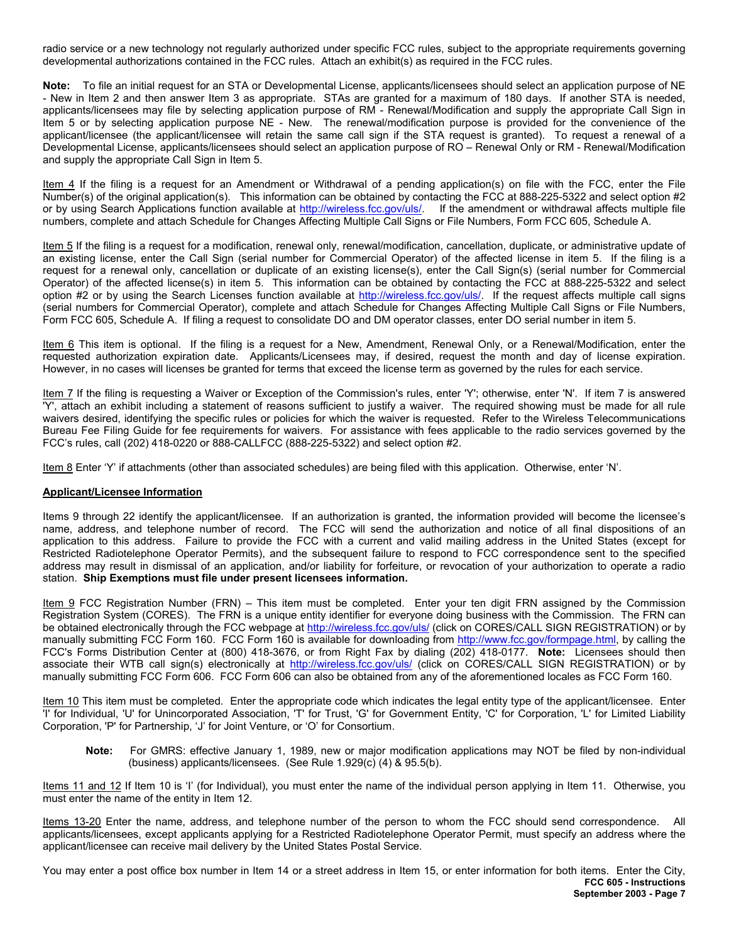radio service or a new technology not regularly authorized under specific FCC rules, subject to the appropriate requirements governing developmental authorizations contained in the FCC rules. Attach an exhibit(s) as required in the FCC rules.

**Note:** To file an initial request for an STA or Developmental License, applicants/licensees should select an application purpose of NE - New in Item 2 and then answer Item 3 as appropriate. STAs are granted for a maximum of 180 days. If another STA is needed, applicants/licensees may file by selecting application purpose of RM - Renewal/Modification and supply the appropriate Call Sign in Item 5 or by selecting application purpose NE - New. The renewal/modification purpose is provided for the convenience of the applicant/licensee (the applicant/licensee will retain the same call sign if the STA request is granted). To request a renewal of a Developmental License, applicants/licensees should select an application purpose of RO – Renewal Only or RM - Renewal/Modification and supply the appropriate Call Sign in Item 5.

Item 4 If the filing is a request for an Amendment or Withdrawal of a pending application(s) on file with the FCC, enter the File Number(s) of the original application(s). This information can be obtained by contacting the FCC at 888-225-5322 and select option #2 or by using Search Applications function available at http://wireless.fcc.gov/uls/ If the amendment or withdrawal affects multiple file numbers, complete and attach Schedule for Changes Affecting Multiple Call Signs or File Numbers, Form FCC 605, Schedule A.

Item 5 If the filing is a request for a modification, renewal only, renewal/modification, cancellation, duplicate, or administrative update of an existing license, enter the Call Sign (serial number for Commercial Operator) of the affected license in item 5. If the filing is a request for a renewal only, cancellation or duplicate of an existing license(s), enter the Call Sign(s) (serial number for Commercial Operator) of the affected license(s) in item 5. This information can be obtained by contacting the FCC at 888-225-5322 and select option #2 or by using the Search Licenses function available at http://wireless.fcc.gov/uls/. If the request affects multiple call signs (serial numbers for Commercial Operator), complete and attach Schedule for Changes Affecting Multiple Call Signs or File Numbers, Form FCC 605, Schedule A. If filing a request to consolidate DO and DM operator classes, enter DO serial number in item 5.

Item 6 This item is optional. If the filing is a request for a New, Amendment, Renewal Only, or a Renewal/Modification, enter the requested authorization expiration date. Applicants/Licensees may, if desired, request the month and day of license expiration. However, in no cases will licenses be granted for terms that exceed the license term as governed by the rules for each service.

Item 7 If the filing is requesting a Waiver or Exception of the Commission's rules, enter 'Y'; otherwise, enter 'N'. If item 7 is answered 'Y', attach an exhibit including a statement of reasons sufficient to justify a waiver. The required showing must be made for all rule waivers desired, identifying the specific rules or policies for which the waiver is requested. Refer to the Wireless Telecommunications Bureau Fee Filing Guide for fee requirements for waivers. For assistance with fees applicable to the radio services governed by the FCC's rules, call (202) 418-0220 or 888-CALLFCC (888-225-5322) and select option #2.

Item 8 Enter 'Y' if attachments (other than associated schedules) are being filed with this application. Otherwise, enter 'N'.

#### **Applicant/Licensee Information**

Items 9 through 22 identify the applicant**/**licensee. If an authorization is granted, the information provided will become the licensee's name, address, and telephone number of record. The FCC will send the authorization and notice of all final dispositions of an application to this address. Failure to provide the FCC with a current and valid mailing address in the United States (except for Restricted Radiotelephone Operator Permits), and the subsequent failure to respond to FCC correspondence sent to the specified address may result in dismissal of an application, and/or liability for forfeiture, or revocation of your authorization to operate a radio station. **Ship Exemptions must file under present licensees information.**

Item 9 FCC Registration Number (FRN) – This item must be completed. Enter your ten digit FRN assigned by the Commission Registration System (CORES). The FRN is a unique entity identifier for everyone doing business with the Commission. The FRN can be obtained electronically through the FCC webpage at http://wireless.fcc.gov/uls/ (click on CORES/CALL SIGN REGISTRATION) or by manually submitting FCC Form 160. FCC Form 160 is available for downloading from http://www.fcc.gov/formpage.html, by calling the FCC's Forms Distribution Center at (800) 418-3676, or from Right Fax by dialing (202) 418-0177. **Note:** Licensees should then associate their WTB call sign(s) electronically at http://wireless.fcc.gov/uls/ (click on CORES/CALL SIGN REGISTRATION) or by manually submitting FCC Form 606. FCC Form 606 can also be obtained from any of the aforementioned locales as FCC Form 160.

Item 10 This item must be completed. Enter the appropriate code which indicates the legal entity type of the applicant/licensee. Enter 'I' for Individual, 'U' for Unincorporated Association, 'T' for Trust, 'G' for Government Entity, 'C' for Corporation, 'L' for Limited Liability Corporation, 'P' for Partnership, 'J' for Joint Venture, or 'O' for Consortium.

**Note:** For GMRS: effective January 1, 1989, new or major modification applications may NOT be filed by non-individual (business) applicants/licensees. (See Rule 1.929(c) (4) & 95.5(b).

Items 11 and 12 If Item 10 is 'I' (for Individual), you must enter the name of the individual person applying in Item 11. Otherwise, you must enter the name of the entity in Item 12.

Items 13-20 Enter the name, address, and telephone number of the person to whom the FCC should send correspondence. All applicants/licensees, except applicants applying for a Restricted Radiotelephone Operator Permit, must specify an address where the applicant/licensee can receive mail delivery by the United States Postal Service.

**FCC 605 - Instructions September 2003 - Page 7**  You may enter a post office box number in Item 14 or a street address in Item 15, or enter information for both items. Enter the City,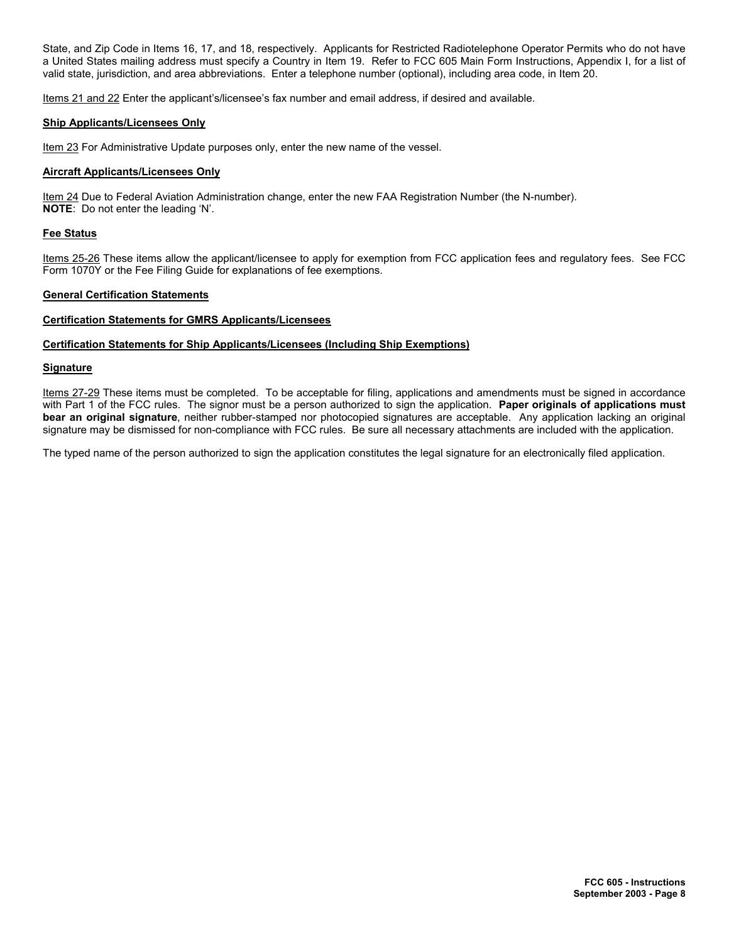State, and Zip Code in Items 16, 17, and 18, respectively. Applicants for Restricted Radiotelephone Operator Permits who do not have a United States mailing address must specify a Country in Item 19. Refer to FCC 605 Main Form Instructions, Appendix I, for a list of valid state, jurisdiction, and area abbreviations. Enter a telephone number (optional), including area code, in Item 20.

Items 21 and 22 Enter the applicant's/licensee's fax number and email address, if desired and available.

#### **Ship Applicants/Licensees Only**

Item 23 For Administrative Update purposes only, enter the new name of the vessel.

#### **Aircraft Applicants/Licensees Only**

Item 24 Due to Federal Aviation Administration change, enter the new FAA Registration Number (the N-number). **NOTE**: Do not enter the leading 'N'.

#### **Fee Status**

Items 25-26 These items allow the applicant/licensee to apply for exemption from FCC application fees and regulatory fees. See FCC Form 1070Y or the Fee Filing Guide for explanations of fee exemptions.

#### **General Certification Statements**

#### **Certification Statements for GMRS Applicants/Licensees**

### **Certification Statements for Ship Applicants/Licensees (Including Ship Exemptions)**

#### **Signature**

Items 27-29 These items must be completed. To be acceptable for filing, applications and amendments must be signed in accordance with Part 1 of the FCC rules. The signor must be a person authorized to sign the application. **Paper originals of applications must bear an original signature**, neither rubber-stamped nor photocopied signatures are acceptable. Any application lacking an original signature may be dismissed for non-compliance with FCC rules. Be sure all necessary attachments are included with the application.

The typed name of the person authorized to sign the application constitutes the legal signature for an electronically filed application.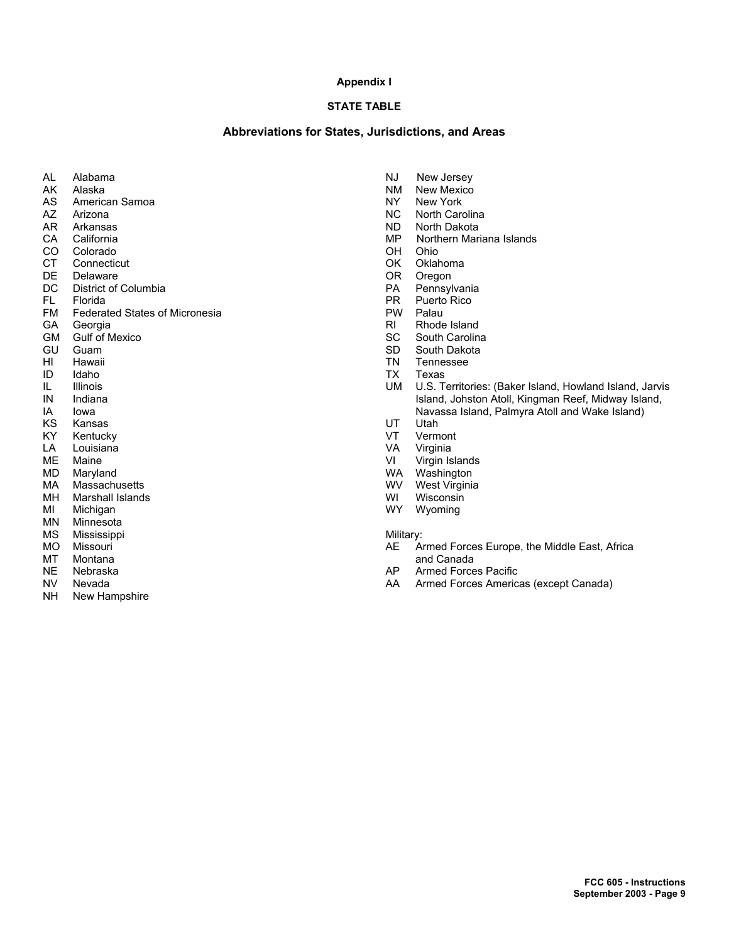#### **Appendix I**

## **STATE TABLE**

### **Abbreviations for States, Jurisdictions, and Areas**

- AL Alabama<br>AK Alaska
- AK Alaska<br>AS America
- AS American Samoa<br>AZ Arizona
- Arizona
- AR Arkansas
- CA California
- CO Colorado
- CT Connecticut
- DE Delaware<br>DC District of
- DC District of Columbia<br>FL Florida
- FL Florida<br>FM Federat
- Federated States of Micronesia
- GA Georgia<br>GM Gulf of M
- GM Gulf of Mexico<br>GU Guam
- GU Guam<br>HI Hawaii
- HI Hawaii<br>ID Idaho
- ID Idaho
- IL Illinois<br>IN Indiana Indiana
- IA Iowa
- KS Kansas
- KY Kentucky
- LA Louisiana
- 
- ME Maine<br>MD Maryla
- MD Maryland<br>MA Massachu
- MA Massachusetts<br>MH Marshall Island MH Marshall Islands<br>MI Michigan
- MI Michigan<br>MN Minnesot
- Minnesota
- MS Mississippi
- MO Missouri
- MT Montana
- NE Nebraska
- NV Nevada<br>NH New Har
- New Hampshire
- NJ New Jersey<br>NM New Mexico
- **NM** New Mexico<br>NY New York
- NY New York<br>NC North Card North Carolina
- ND North Dakota
- 
- MP Northern Mariana Islands
- OH Ohio
- OK Oklahoma<br>OR Oregon
- Oregon
- PA Pennsylvania<br>PR Puerto Rico
- PR Puerto Rico<br>PW Palau
- Palau
- RI Rhode Island<br>SC South Carolin
- SC South Carolina<br>SD South Dakota
- SD South Dakota<br>TN Tennessee
- TN Tennessee<br>TX Texas
- TX Texas<br>UM U.S. To
- U.S. Territories: (Baker Island, Howland Island, Jarvis Island, Johston Atoll, Kingman Reef, Midway Island, Navassa Island, Palmyra Atoll and Wake Island)
- UT Utah
- VT Vermont
- VA Virginia
- VI Virgin Islands<br>WA Washington
- WA Washington<br>WV West Virginia
- WV West Virginia<br>WI Wisconsin
- WI Wisconsin<br>WY Wyoming
- Wyoming

#### Military:

- AE Armed Forces Europe, the Middle East, Africa and Canada<br>AP Armed Force
- Armed Forces Pacific
- AA Armed Forces Americas (except Canada)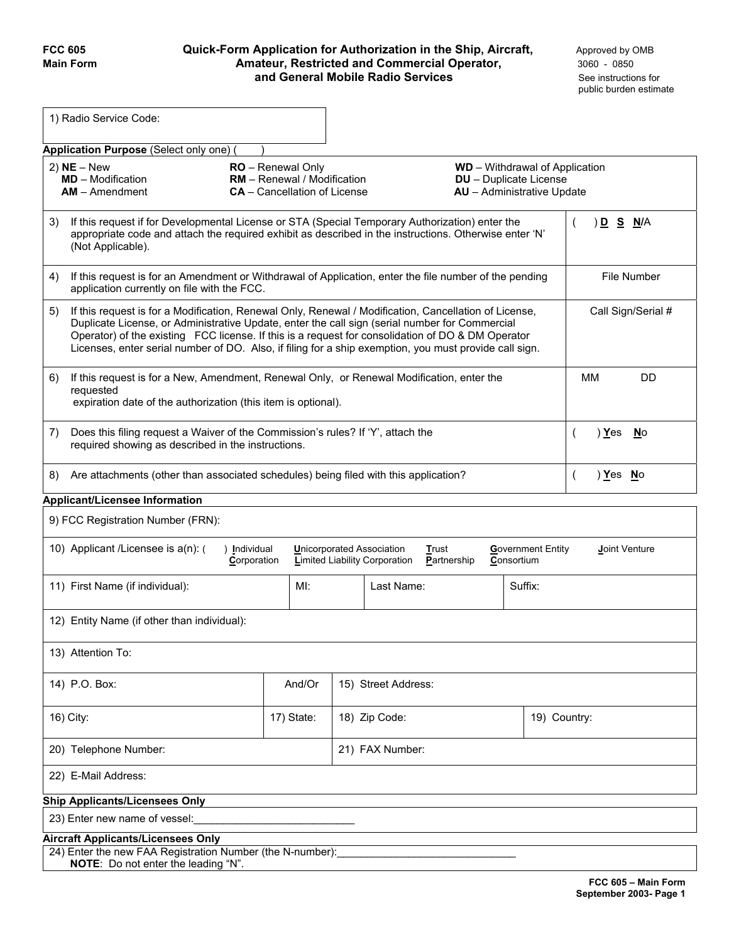## **FCC 605 Quick-Form Application for Authorization in the Ship, Aircraft, Approved by OMB Main Form Amateur, Restricted and Commercial Operator,** 3060 - 0850 **and General Mobile Radio Services See instructions for**

| 1) Radio Service Code:                                                                                                                                                                                                                                                                                                                                                                                                       |                                                                                                |               |                               |                                                                     |                               |
|------------------------------------------------------------------------------------------------------------------------------------------------------------------------------------------------------------------------------------------------------------------------------------------------------------------------------------------------------------------------------------------------------------------------------|------------------------------------------------------------------------------------------------|---------------|-------------------------------|---------------------------------------------------------------------|-------------------------------|
| Application Purpose (Select only one)                                                                                                                                                                                                                                                                                                                                                                                        |                                                                                                |               |                               |                                                                     |                               |
| $2)$ NE – New<br><b>MD</b> - Modification<br>$AM -$ Amendment                                                                                                                                                                                                                                                                                                                                                                | <b>RO</b> - Renewal Only<br>RM - Renewal / Modification<br><b>CA</b> – Cancellation of License |               | <b>DU</b> - Duplicate License | <b>WD</b> - Withdrawal of Application<br>AU - Administrative Update |                               |
| If this request if for Developmental License or STA (Special Temporary Authorization) enter the<br>3)<br>appropriate code and attach the required exhibit as described in the instructions. Otherwise enter 'N'<br>(Not Applicable).                                                                                                                                                                                         |                                                                                                |               |                               |                                                                     | ) <u>D S N</u> /A<br>$\left($ |
| If this request is for an Amendment or Withdrawal of Application, enter the file number of the pending<br>4)<br>application currently on file with the FCC.                                                                                                                                                                                                                                                                  |                                                                                                |               |                               |                                                                     | <b>File Number</b>            |
| If this request is for a Modification, Renewal Only, Renewal / Modification, Cancellation of License,<br>5)<br>Duplicate License, or Administrative Update, enter the call sign (serial number for Commercial<br>Operator) of the existing FCC license. If this is a request for consolidation of DO & DM Operator<br>Licenses, enter serial number of DO. Also, if filing for a ship exemption, you must provide call sign. |                                                                                                |               |                               |                                                                     | Call Sign/Serial #            |
| If this request is for a New, Amendment, Renewal Only, or Renewal Modification, enter the<br>6)<br>requested<br>expiration date of the authorization (this item is optional).                                                                                                                                                                                                                                                |                                                                                                |               |                               |                                                                     | <b>MM</b><br><b>DD</b>        |
| Does this filing request a Waiver of the Commission's rules? If 'Y', attach the<br>7)<br>required showing as described in the instructions.                                                                                                                                                                                                                                                                                  |                                                                                                |               |                               |                                                                     | ) Yes<br>No<br>(              |
| Are attachments (other than associated schedules) being filed with this application?<br>8)                                                                                                                                                                                                                                                                                                                                   |                                                                                                |               |                               | $\overline{ }$                                                      | <u>)Yes No</u>                |
| Applicant/Licensee Information                                                                                                                                                                                                                                                                                                                                                                                               |                                                                                                |               |                               |                                                                     |                               |
| 9) FCC Registration Number (FRN):                                                                                                                                                                                                                                                                                                                                                                                            |                                                                                                |               |                               |                                                                     |                               |
| 10) Applicant /Licensee is a(n): (<br>) Individual<br><b>Unicorporated Association</b><br>Government Entity<br>Joint Venture<br>Trust<br>Corporation<br><b>Limited Liability Corporation</b><br>Partnership<br>Consortium                                                                                                                                                                                                    |                                                                                                |               |                               |                                                                     |                               |
| $M!$ :<br>Last Name:<br>Suffix:<br>11) First Name (if individual):                                                                                                                                                                                                                                                                                                                                                           |                                                                                                |               |                               |                                                                     |                               |
| 12) Entity Name (if other than individual):                                                                                                                                                                                                                                                                                                                                                                                  |                                                                                                |               |                               |                                                                     |                               |
| 13) Attention To:                                                                                                                                                                                                                                                                                                                                                                                                            |                                                                                                |               |                               |                                                                     |                               |
| 14) P.O. Box:                                                                                                                                                                                                                                                                                                                                                                                                                | And/Or<br>15) Street Address:                                                                  |               |                               |                                                                     |                               |
| 16) City:                                                                                                                                                                                                                                                                                                                                                                                                                    | 17) State:                                                                                     | 18) Zip Code: |                               | 19) Country:                                                        |                               |
| 21) FAX Number:<br>20) Telephone Number:                                                                                                                                                                                                                                                                                                                                                                                     |                                                                                                |               |                               |                                                                     |                               |
| 22) E-Mail Address:                                                                                                                                                                                                                                                                                                                                                                                                          |                                                                                                |               |                               |                                                                     |                               |
| <b>Ship Applicants/Licensees Only</b>                                                                                                                                                                                                                                                                                                                                                                                        |                                                                                                |               |                               |                                                                     |                               |
| 23) Enter new name of vessel:                                                                                                                                                                                                                                                                                                                                                                                                |                                                                                                |               |                               |                                                                     |                               |
| <b>Aircraft Applicants/Licensees Only</b>                                                                                                                                                                                                                                                                                                                                                                                    |                                                                                                |               |                               |                                                                     |                               |
| 24) Enter the new FAA Registration Number (the N-number):<br>NOTE: Do not enter the leading "N".                                                                                                                                                                                                                                                                                                                             |                                                                                                |               |                               |                                                                     |                               |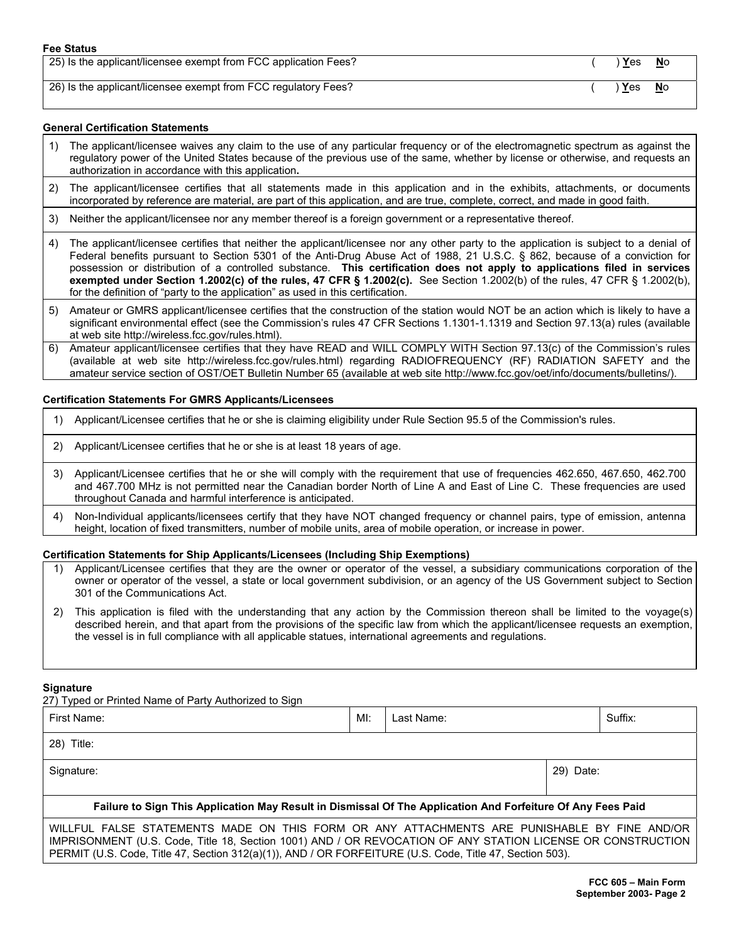| 25) Is the applicant/licensee exempt from FCC application Fees? | ) <u>Y</u> es | <b>No</b> |
|-----------------------------------------------------------------|---------------|-----------|
|-----------------------------------------------------------------|---------------|-----------|

26) Is the applicant/licensee exempt from FCC regulatory Fees? ( ) **Y**es **N**o

#### **General Certification Statements**

- 1) The applicant/licensee waives any claim to the use of any particular frequency or of the electromagnetic spectrum as against the regulatory power of the United States because of the previous use of the same, whether by license or otherwise, and requests an authorization in accordance with this application**.**
- 2) The applicant/licensee certifies that all statements made in this application and in the exhibits, attachments, or documents incorporated by reference are material, are part of this application, and are true, complete, correct, and made in good faith.
- 3) Neither the applicant/licensee nor any member thereof is a foreign government or a representative thereof.
- 4) The applicant/licensee certifies that neither the applicant/licensee nor any other party to the application is subject to a denial of Federal benefits pursuant to Section 5301 of the Anti-Drug Abuse Act of 1988, 21 U.S.C. § 862, because of a conviction for possession or distribution of a controlled substance. **This certification does not apply to applications filed in services exempted under Section 1.2002(c) of the rules, 47 CFR § 1.2002(c).** See Section 1.2002(b) of the rules, 47 CFR § 1.2002(b), for the definition of "party to the application" as used in this certification.
- 5) Amateur or GMRS applicant/licensee certifies that the construction of the station would NOT be an action which is likely to have a significant environmental effect (see the Commission's rules 47 CFR Sections 1.1301-1.1319 and Section 97.13(a) rules (available at web site http://wireless.fcc.gov/rules.html).
- 6) Amateur applicant/licensee certifies that they have READ and WILL COMPLY WITH Section 97.13(c) of the Commission's rules (available at web site http://wireless.fcc.gov/rules.html) regarding RADIOFREQUENCY (RF) RADIATION SAFETY and the amateur service section of OST/OET Bulletin Number 65 (available at web site http://www.fcc.gov/oet/info/documents/bulletins/).

#### **Certification Statements For GMRS Applicants/Licensees**

- 1) Applicant/Licensee certifies that he or she is claiming eligibility under Rule Section 95.5 of the Commission's rules.
- 2) Applicant/Licensee certifies that he or she is at least 18 years of age.
- 3) Applicant/Licensee certifies that he or she will comply with the requirement that use of frequencies 462.650, 467.650, 462.700 and 467.700 MHz is not permitted near the Canadian border North of Line A and East of Line C. These frequencies are used throughout Canada and harmful interference is anticipated.
- 4) Non-Individual applicants/licensees certify that they have NOT changed frequency or channel pairs, type of emission, antenna height, location of fixed transmitters, number of mobile units, area of mobile operation, or increase in power.

#### **Certification Statements for Ship Applicants/Licensees (Including Ship Exemptions)**

- 1) Applicant/Licensee certifies that they are the owner or operator of the vessel, a subsidiary communications corporation of the owner or operator of the vessel, a state or local government subdivision, or an agency of the US Government subject to Section 301 of the Communications Act.
- 2) This application is filed with the understanding that any action by the Commission thereon shall be limited to the voyage(s) described herein, and that apart from the provisions of the specific law from which the applicant/licensee requests an exemption, the vessel is in full compliance with all applicable statues, international agreements and regulations.

#### **Signature**

27) Typed or Printed Name of Party Authorized to Sign

| First Name:                                                                                                 | MI: | Last Name: |           | Suffix: |
|-------------------------------------------------------------------------------------------------------------|-----|------------|-----------|---------|
| $28)$ Title:                                                                                                |     |            |           |         |
| Signature:                                                                                                  |     |            | 29) Date: |         |
| Failure to Sign This Application May Result in Dismissal Of The Application And Forfeiture Of Any Fees Paid |     |            |           |         |
| WILLFUL FALSE STATEMENTS MADE ON THIS FORM OR ANY ATTACHMENTS ARE PUNISHABLE BY FINE AND/OR                 |     |            |           |         |

IMPRISONMENT (U.S. Code, Title 18, Section 1001) AND / OR REVOCATION OF ANY STATION LICENSE OR CONSTRUCTION PERMIT (U.S. Code, Title 47, Section 312(a)(1)), AND / OR FORFEITURE (U.S. Code, Title 47, Section 503).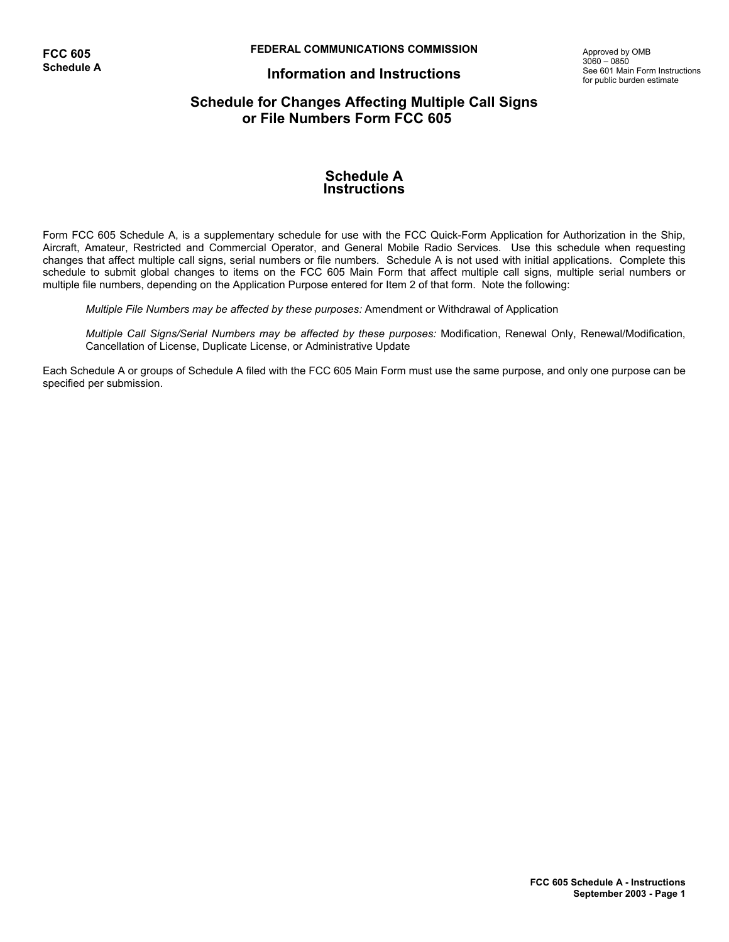**FEDERAL COMMUNICATIONS COMMISSION**

## **Information and Instructions**

Approved by OMB  $3060 - 0850$ See 601 Main Form Instructions for public burden estimate

## **Schedule for Changes Affecting Multiple Call Signs or File Numbers Form FCC 605**

### **Schedule A Instructions**

Form FCC 605 Schedule A, is a supplementary schedule for use with the FCC Quick-Form Application for Authorization in the Ship, Aircraft, Amateur, Restricted and Commercial Operator, and General Mobile Radio Services. Use this schedule when requesting changes that affect multiple call signs, serial numbers or file numbers. Schedule A is not used with initial applications. Complete this schedule to submit global changes to items on the FCC 605 Main Form that affect multiple call signs, multiple serial numbers or multiple file numbers, depending on the Application Purpose entered for Item 2 of that form. Note the following:

*Multiple File Numbers may be affected by these purposes:* Amendment or Withdrawal of Application

*Multiple Call Signs/Serial Numbers may be affected by these purposes:* Modification, Renewal Only, Renewal/Modification, Cancellation of License, Duplicate License, or Administrative Update

Each Schedule A or groups of Schedule A filed with the FCC 605 Main Form must use the same purpose, and only one purpose can be specified per submission.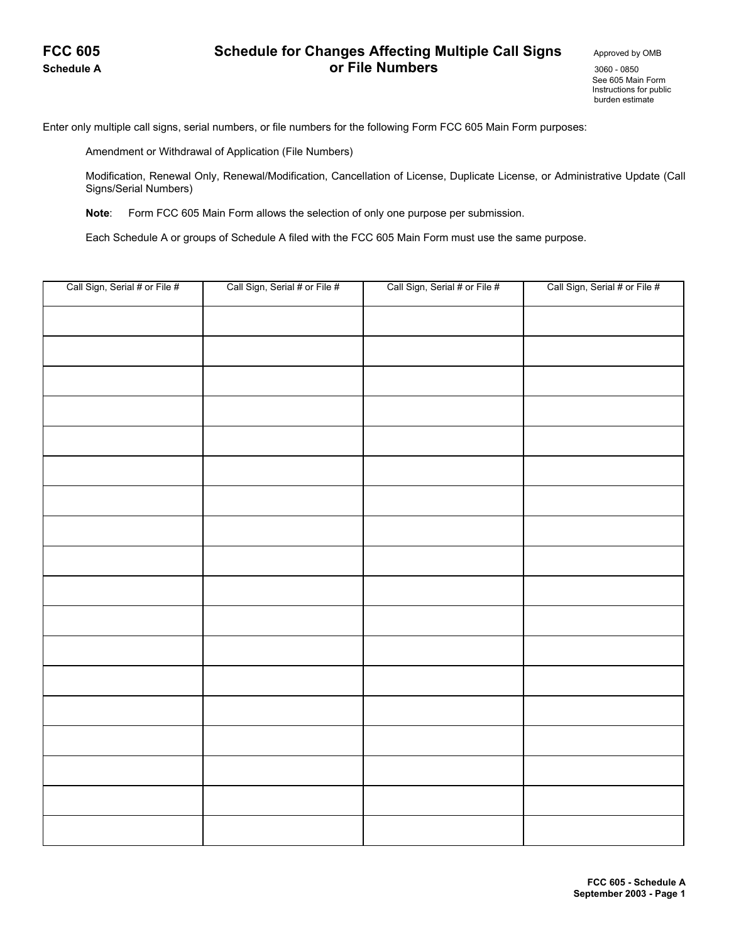## **FCC 605** Schedule for Changes Affecting Multiple Call Signs Approved by OMB **Schedule A** 3060 - **3060 - 0850 Or File Numbers** 3060 - 0850

 See 605 Main Form Instructions for public burden estimate

Enter only multiple call signs, serial numbers, or file numbers for the following Form FCC 605 Main Form purposes:

Amendment or Withdrawal of Application (File Numbers)

Modification, Renewal Only, Renewal/Modification, Cancellation of License, Duplicate License, or Administrative Update (Call Signs/Serial Numbers)

 **Note**: Form FCC 605 Main Form allows the selection of only one purpose per submission.

Each Schedule A or groups of Schedule A filed with the FCC 605 Main Form must use the same purpose.

| Call Sign, Serial # or File # | Call Sign, Serial # or File # | Call Sign, Serial # or File # | Call Sign, Serial # or File # |
|-------------------------------|-------------------------------|-------------------------------|-------------------------------|
|                               |                               |                               |                               |
|                               |                               |                               |                               |
|                               |                               |                               |                               |
|                               |                               |                               |                               |
|                               |                               |                               |                               |
|                               |                               |                               |                               |
|                               |                               |                               |                               |
|                               |                               |                               |                               |
|                               |                               |                               |                               |
|                               |                               |                               |                               |
|                               |                               |                               |                               |
|                               |                               |                               |                               |
|                               |                               |                               |                               |
|                               |                               |                               |                               |
|                               |                               |                               |                               |
|                               |                               |                               |                               |
|                               |                               |                               |                               |
|                               |                               |                               |                               |
|                               |                               |                               |                               |
|                               |                               |                               |                               |
|                               |                               |                               |                               |
|                               |                               |                               |                               |
|                               |                               |                               |                               |
|                               |                               |                               |                               |
|                               |                               |                               |                               |
|                               |                               |                               |                               |
|                               |                               |                               |                               |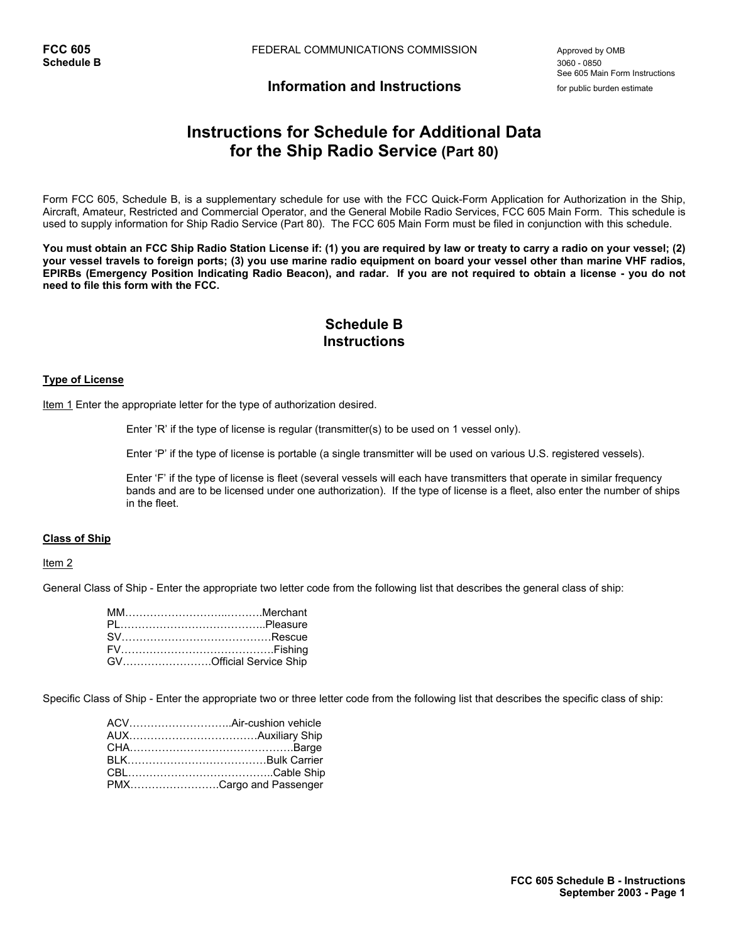See 605 Main Form Instructions

## **Information and Instructions** for public burden estimate

# **Instructions for Schedule for Additional Data for the Ship Radio Service (Part 80)**

Form FCC 605, Schedule B, is a supplementary schedule for use with the FCC Quick-Form Application for Authorization in the Ship, Aircraft, Amateur, Restricted and Commercial Operator, and the General Mobile Radio Services, FCC 605 Main Form. This schedule is used to supply information for Ship Radio Service (Part 80). The FCC 605 Main Form must be filed in conjunction with this schedule.

**You must obtain an FCC Ship Radio Station License if: (1) you are required by law or treaty to carry a radio on your vessel; (2) your vessel travels to foreign ports; (3) you use marine radio equipment on board your vessel other than marine VHF radios, EPIRBs (Emergency Position Indicating Radio Beacon), and radar. If you are not required to obtain a license - you do not need to file this form with the FCC.** 

## **Schedule B Instructions**

#### **Type of License**

Item 1 Enter the appropriate letter for the type of authorization desired.

Enter 'R' if the type of license is regular (transmitter(s) to be used on 1 vessel only).

Enter 'P' if the type of license is portable (a single transmitter will be used on various U.S. registered vessels).

 Enter 'F' if the type of license is fleet (several vessels will each have transmitters that operate in similar frequency bands and are to be licensed under one authorization). If the type of license is a fleet, also enter the number of ships in the fleet.

#### **Class of Ship**

#### Item<sub>2</sub>

General Class of Ship - Enter the appropriate two letter code from the following list that describes the general class of ship:

| GVOfficial Service Ship |
|-------------------------|

Specific Class of Ship - Enter the appropriate two or three letter code from the following list that describes the specific class of ship:

| PMXCargo and Passenger |
|------------------------|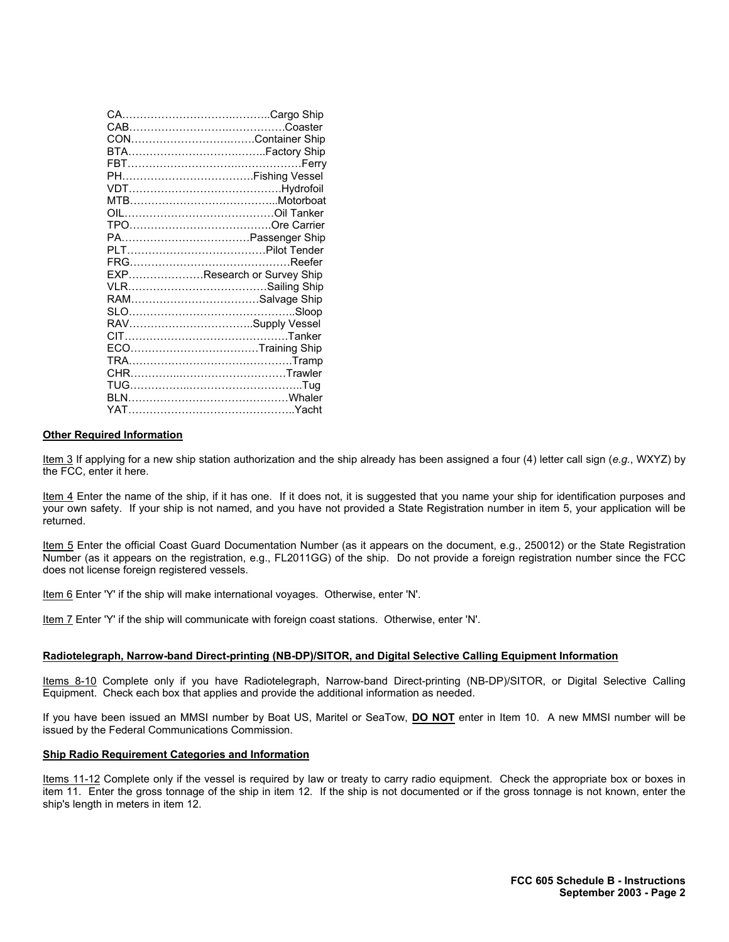|  | EXPResearch or Survey Ship |
|--|----------------------------|
|  |                            |
|  |                            |
|  |                            |
|  |                            |
|  |                            |
|  | ECOTraining Ship           |
|  |                            |
|  |                            |
|  |                            |
|  |                            |
|  |                            |
|  |                            |

#### **Other Required Information**

Item 3 If applying for a new ship station authorization and the ship already has been assigned a four (4) letter call sign (*e.g.*, WXYZ) by the FCC, enter it here.

Item 4 Enter the name of the ship, if it has one. If it does not, it is suggested that you name your ship for identification purposes and your own safety. If your ship is not named, and you have not provided a State Registration number in item 5, your application will be returned.

Item 5 Enter the official Coast Guard Documentation Number (as it appears on the document, e.g., 250012) or the State Registration Number (as it appears on the registration, e.g., FL2011GG) of the ship. Do not provide a foreign registration number since the FCC does not license foreign registered vessels.

Item 6 Enter 'Y' if the ship will make international voyages. Otherwise, enter 'N'.

Item 7 Enter 'Y' if the ship will communicate with foreign coast stations. Otherwise, enter 'N'.

#### **Radiotelegraph, Narrow-band Direct-printing (NB-DP)/SITOR, and Digital Selective Calling Equipment Information**

Items 8-10 Complete only if you have Radiotelegraph, Narrow-band Direct-printing (NB-DP)/SITOR, or Digital Selective Calling Equipment. Check each box that applies and provide the additional information as needed.

If you have been issued an MMSI number by Boat US, Maritel or SeaTow, **DO NOT** enter in Item 10. A new MMSI number will be issued by the Federal Communications Commission.

#### **Ship Radio Requirement Categories and Information**

Items 11-12 Complete only if the vessel is required by law or treaty to carry radio equipment. Check the appropriate box or boxes in item 11. Enter the gross tonnage of the ship in item 12. If the ship is not documented or if the gross tonnage is not known, enter the ship's length in meters in item 12.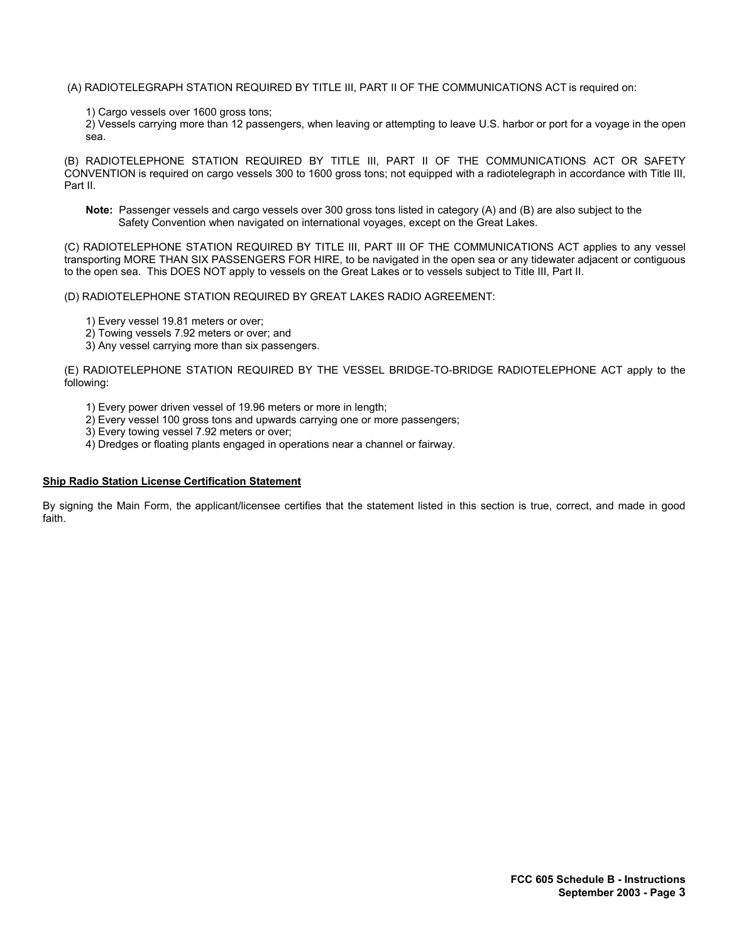#### (A) RADIOTELEGRAPH STATION REQUIRED BY TITLE III, PART II OF THE COMMUNICATIONS ACT is required on:

1) Cargo vessels over 1600 gross tons;

2) Vessels carrying more than 12 passengers, when leaving or attempting to leave U.S. harbor or port for a voyage in the open sea.

(B) RADIOTELEPHONE STATION REQUIRED BY TITLE III, PART II OF THE COMMUNICATIONS ACT OR SAFETY CONVENTION is required on cargo vessels 300 to 1600 gross tons; not equipped with a radiotelegraph in accordance with Title III, Part II.

**Note:** Passenger vessels and cargo vessels over 300 gross tons listed in category (A) and (B) are also subject to the Safety Convention when navigated on international voyages, except on the Great Lakes.

(C) RADIOTELEPHONE STATION REQUIRED BY TITLE III, PART III OF THE COMMUNICATIONS ACT applies to any vessel transporting MORE THAN SIX PASSENGERS FOR HIRE, to be navigated in the open sea or any tidewater adjacent or contiguous to the open sea. This DOES NOT apply to vessels on the Great Lakes or to vessels subject to Title III, Part II.

(D) RADIOTELEPHONE STATION REQUIRED BY GREAT LAKES RADIO AGREEMENT:

- 1) Every vessel 19.81 meters or over;
- 2) Towing vessels 7.92 meters or over; and
- 3) Any vessel carrying more than six passengers.

(E) RADIOTELEPHONE STATION REQUIRED BY THE VESSEL BRIDGE-TO-BRIDGE RADIOTELEPHONE ACT apply to the following:

- 1) Every power driven vessel of 19.96 meters or more in length;
- 2) Every vessel 100 gross tons and upwards carrying one or more passengers;
- 3) Every towing vessel 7.92 meters or over;
- 4) Dredges or floating plants engaged in operations near a channel or fairway.

#### **Ship Radio Station License Certification Statement**

By signing the Main Form, the applicant/licensee certifies that the statement listed in this section is true, correct, and made in good faith.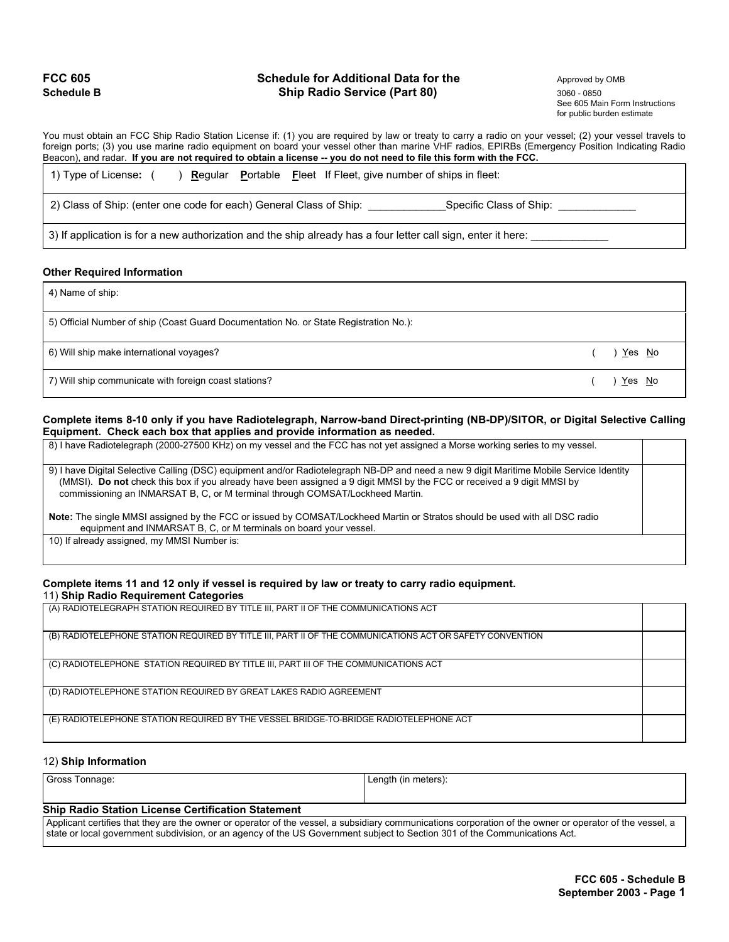### **FCC 605** Schedule for Additional Data for the Approved by OMB **Schedule B 3060 - 0850 Ship Radio Service (Part 80)** 3060 - 0850 3060 - 0850

 See 605 Main Form Instructions for public burden estimate

You must obtain an FCC Ship Radio Station License if: (1) you are required by law or treaty to carry a radio on your vessel; (2) your vessel travels to foreign ports; (3) you use marine radio equipment on board your vessel other than marine VHF radios, EPIRBs (Emergency Position Indicating Radio Beacon), and radar. **If you are not required to obtain a license -- you do not need to file this form with the FCC.**

| 1) Type of License:                                                                                           |  |  | <b>Regular</b> Portable Fleet If Fleet, give number of ships in fleet: |
|---------------------------------------------------------------------------------------------------------------|--|--|------------------------------------------------------------------------|
| 2) Class of Ship: (enter one code for each) General Class of Ship:                                            |  |  | Specific Class of Ship:                                                |
| 3) If application is for a new authorization and the ship already has a four letter call sign, enter it here: |  |  |                                                                        |

#### **Other Required Information**

4) Name of ship:

5) Official Number of ship (Coast Guard Documentation No. or State Registration No.):

6) Will ship make international voyages?( ) Yes No

7) Will ship communicate with foreign coast stations? The communicate with foreign coast stations?

#### **Complete items 8-10 only if you have Radiotelegraph, Narrow-band Direct-printing (NB-DP)/SITOR, or Digital Selective Calling Equipment. Check each box that applies and provide information as needed.**

| 8) I have Radiotelegraph (2000-27500 KHz) on my vessel and the FCC has not yet assigned a Morse working series to my vessel.                                                                                                                                                                                                                        |  |
|-----------------------------------------------------------------------------------------------------------------------------------------------------------------------------------------------------------------------------------------------------------------------------------------------------------------------------------------------------|--|
| 9) I have Digital Selective Calling (DSC) equipment and/or Radiotelegraph NB-DP and need a new 9 digit Maritime Mobile Service Identity<br>(MMSI). Do not check this box if you already have been assigned a 9 digit MMSI by the FCC or received a 9 digit MMSI by<br>commissioning an INMARSAT B, C, or M terminal through COMSAT/Lockheed Martin. |  |
| Note: The single MMSI assigned by the FCC or issued by COMSAT/Lockheed Martin or Stratos should be used with all DSC radio<br>equipment and INMARSAT B, C, or M terminals on board your vessel.                                                                                                                                                     |  |
| 10) If already assigned, my MMSI Number is:                                                                                                                                                                                                                                                                                                         |  |

### **Complete items 11 and 12 only if vessel is required by law or treaty to carry radio equipment.**

11) **Ship Radio Requirement Categories** (A) RADIOTELEGRAPH STATION REQUIRED BY TITLE III, PART II OF THE COMMUNICATIONS ACT (B) RADIOTELEPHONE STATION REQUIRED BY TITLE III, PART II OF THE COMMUNICATIONS ACT OR SAFETY CONVENTION (C) RADIOTELEPHONE STATION REQUIRED BY TITLE III, PART III OF THE COMMUNICATIONS ACT (D) RADIOTELEPHONE STATION REQUIRED BY GREAT LAKES RADIO AGREEMENT (E) RADIOTELEPHONE STATION REQUIRED BY THE VESSEL BRIDGE-TO-BRIDGE RADIOTELEPHONE ACT

#### 12) **Ship Information**

| Gross Tonnage:                                                                                                                                         | Length (in meters): |
|--------------------------------------------------------------------------------------------------------------------------------------------------------|---------------------|
|                                                                                                                                                        |                     |
| <b>Ship Radio Station License Certification Statement</b>                                                                                              |                     |
| Applicant cortifice that thou are the ewper or eperator of the vessel a subsidiary communications corporation of the ewper or eperator of the vessel a |                     |

plicant certifies that they are the owner or operator of the vessel, a subsidiary communications corporation of the owner or operator of the vessel, a state or local government subdivision, or an agency of the US Government subject to Section 301 of the Communications Act.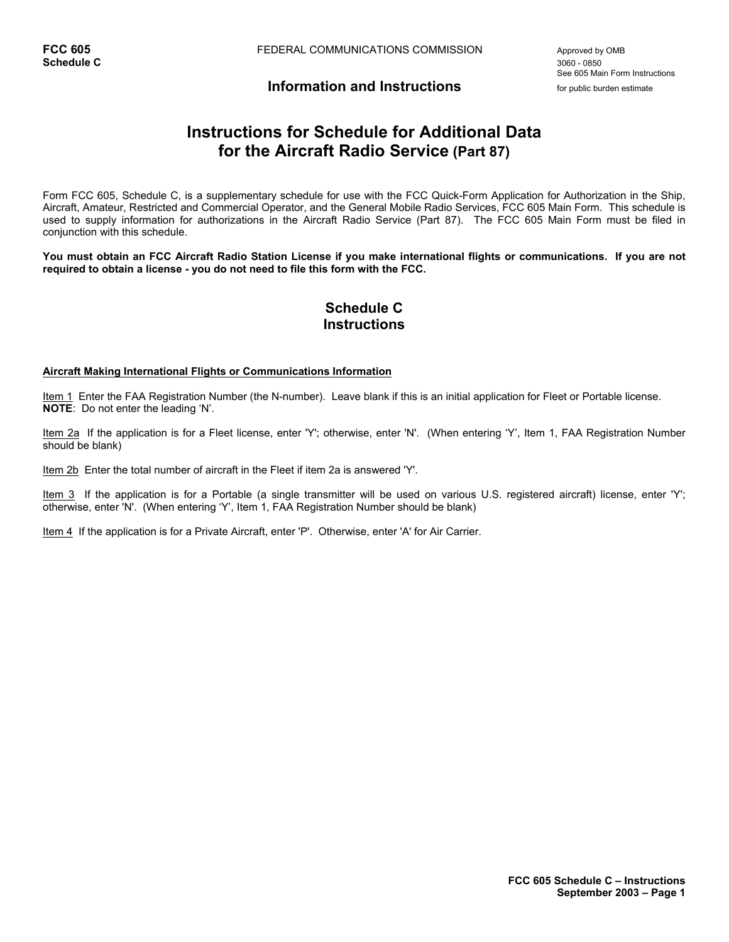See 605 Main Form Instructions

## **Information and Instructions** for public burden estimate

# **Instructions for Schedule for Additional Data for the Aircraft Radio Service (Part 87)**

Form FCC 605, Schedule C, is a supplementary schedule for use with the FCC Quick-Form Application for Authorization in the Ship, Aircraft, Amateur, Restricted and Commercial Operator, and the General Mobile Radio Services, FCC 605 Main Form. This schedule is used to supply information for authorizations in the Aircraft Radio Service (Part 87). The FCC 605 Main Form must be filed in conjunction with this schedule.

**You must obtain an FCC Aircraft Radio Station License if you make international flights or communications. If you are not required to obtain a license - you do not need to file this form with the FCC.** 

## **Schedule C Instructions**

#### **Aircraft Making International Flights or Communications Information**

Item 1 Enter the FAA Registration Number (the N-number). Leave blank if this is an initial application for Fleet or Portable license. **NOTE**: Do not enter the leading 'N'.

Item 2a If the application is for a Fleet license, enter 'Y'; otherwise, enter 'N'. (When entering 'Y', Item 1, FAA Registration Number should be blank)

Item 2b Enter the total number of aircraft in the Fleet if item 2a is answered 'Y'.

Item 3 If the application is for a Portable (a single transmitter will be used on various U.S. registered aircraft) license, enter 'Y'; otherwise, enter 'N'. (When entering 'Y', Item 1, FAA Registration Number should be blank)

Item 4 If the application is for a Private Aircraft, enter 'P'. Otherwise, enter 'A' for Air Carrier.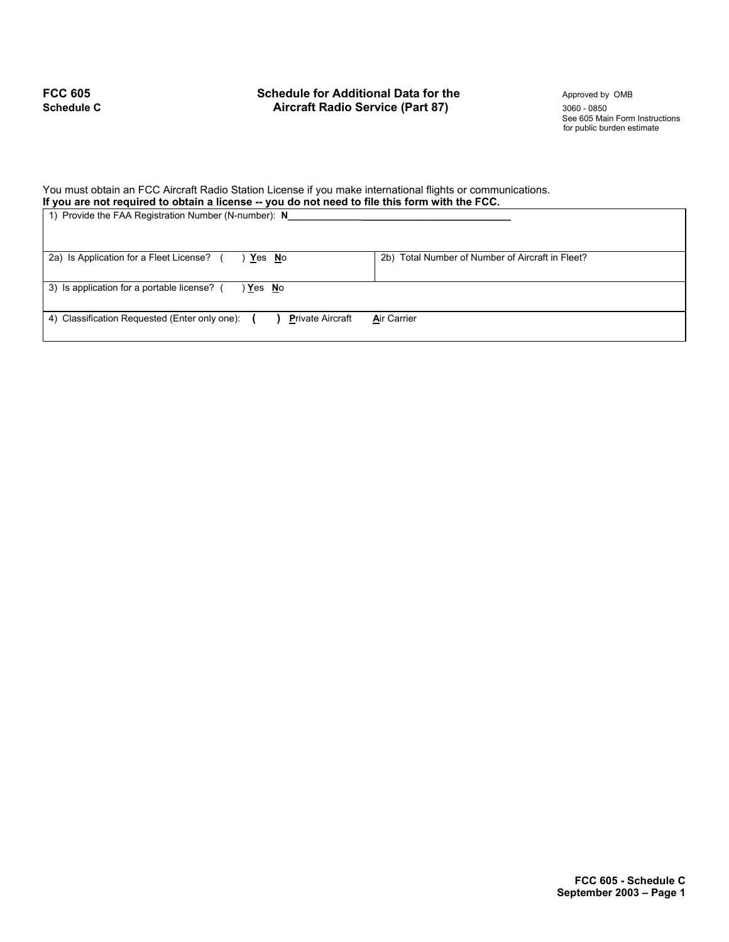## **FCC 605** Schedule for Additional Data for the **Approved by OMB Schedule C Aircraft Radio Service (Part 87)** 3060 - 0850

See 605 Main Form Instructions for public burden estimate

### You must obtain an FCC Aircraft Radio Station License if you make international flights or communications. **If you are not required to obtain a license -- you do not need to file this form with the FCC.**

| 1) Provide the FAA Registration Number (N-number): N                     |                                                  |  |
|--------------------------------------------------------------------------|--------------------------------------------------|--|
| 2a) Is Application for a Fleet License?<br>Yes No                        | 2b) Total Number of Number of Aircraft in Fleet? |  |
| 3) Is application for a portable license?<br>Yes No                      |                                                  |  |
| 4) Classification Requested (Enter only one):<br><b>Private Aircraft</b> | <b>Air Carrier</b>                               |  |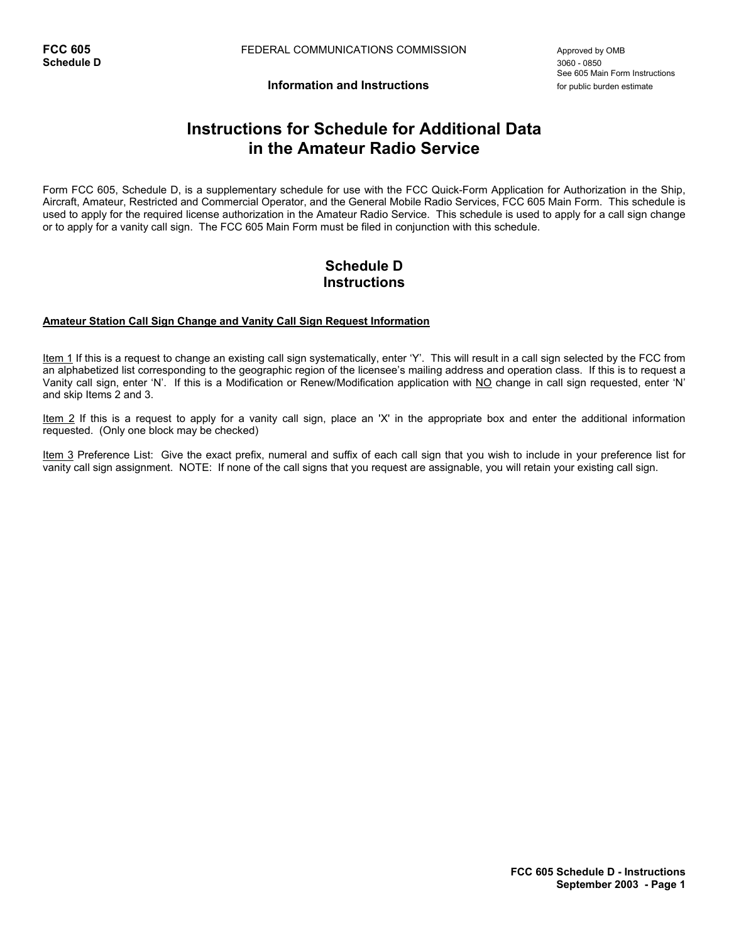See 605 Main Form Instructions

**Information and Instructions** *n**information* **and <b>Instructions** 

# **Instructions for Schedule for Additional Data in the Amateur Radio Service**

Form FCC 605, Schedule D, is a supplementary schedule for use with the FCC Quick-Form Application for Authorization in the Ship, Aircraft, Amateur, Restricted and Commercial Operator, and the General Mobile Radio Services, FCC 605 Main Form. This schedule is used to apply for the required license authorization in the Amateur Radio Service. This schedule is used to apply for a call sign change or to apply for a vanity call sign. The FCC 605 Main Form must be filed in conjunction with this schedule.

## **Schedule D Instructions**

### **Amateur Station Call Sign Change and Vanity Call Sign Request Information**

Item 1 If this is a request to change an existing call sign systematically, enter 'Y'. This will result in a call sign selected by the FCC from an alphabetized list corresponding to the geographic region of the licensee's mailing address and operation class. If this is to request a Vanity call sign, enter 'N'. If this is a Modification or Renew/Modification application with NO change in call sign requested, enter 'N' and skip Items 2 and 3.

Item 2 If this is a request to apply for a vanity call sign, place an 'X' in the appropriate box and enter the additional information requested. (Only one block may be checked)

Item 3 Preference List: Give the exact prefix, numeral and suffix of each call sign that you wish to include in your preference list for vanity call sign assignment. NOTE: If none of the call signs that you request are assignable, you will retain your existing call sign.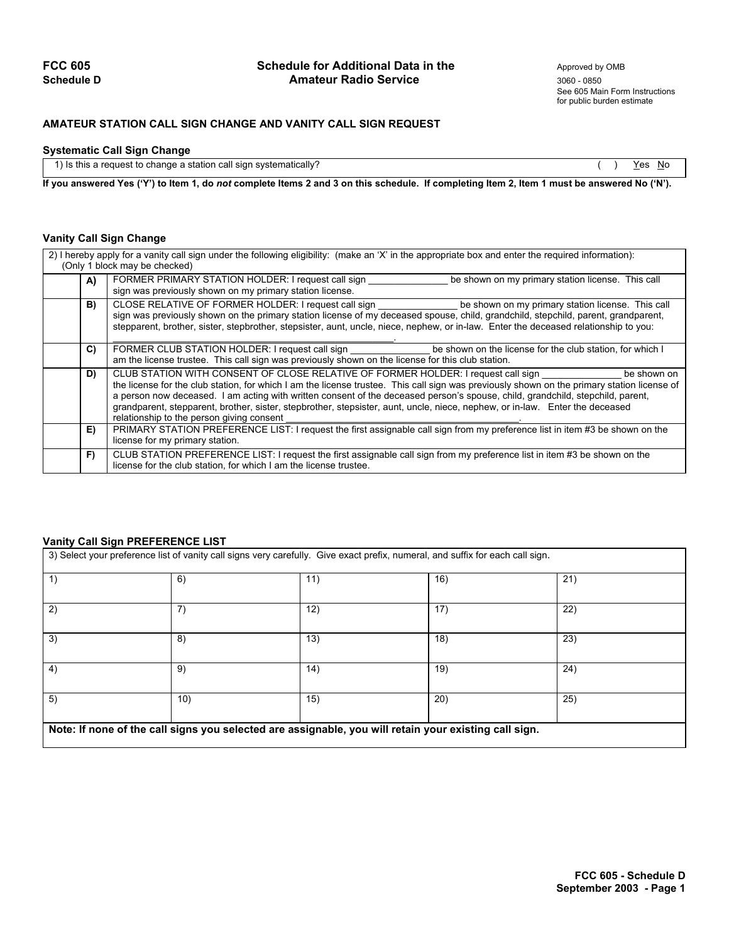### **FCC 605** Schedule for Additional Data in the Approved by OMB Schedule D<br> **Amateur Radio Service** 2006 2050 2050 **Amateur Radio Service** 3060 - 0850

## **AMATEUR STATION CALL SIGN CHANGE AND VANITY CALL SIGN REQUEST**

### **Systematic Call Sign Change**

1) Is this a request to change a station call sign systematically?  $( )$  Yes No

**If you answered Yes ('Y') to Item 1, do** *not* **complete Items 2 and 3 on this schedule. If completing Item 2, Item 1 must be answered No ('N').** 

### **Vanity Call Sign Change**

| 2) I hereby apply for a vanity call sign under the following eligibility: (make an 'X' in the appropriate box and enter the required information):<br>(Only 1 block may be checked) |                                                                                                                                                                                                                                                                                                                                                                                                                                                                                                                                                                |  |  |
|-------------------------------------------------------------------------------------------------------------------------------------------------------------------------------------|----------------------------------------------------------------------------------------------------------------------------------------------------------------------------------------------------------------------------------------------------------------------------------------------------------------------------------------------------------------------------------------------------------------------------------------------------------------------------------------------------------------------------------------------------------------|--|--|
| A)                                                                                                                                                                                  | FORMER PRIMARY STATION HOLDER: I request call sign<br>be shown on my primary station license. This call<br>sign was previously shown on my primary station license.                                                                                                                                                                                                                                                                                                                                                                                            |  |  |
| B)                                                                                                                                                                                  | CLOSE RELATIVE OF FORMER HOLDER: I request call sign but the shown on my primary station license. This call<br>sign was previously shown on the primary station license of my deceased spouse, child, grandchild, stepchild, parent, grandparent,<br>stepparent, brother, sister, stepbrother, stepsister, aunt, uncle, niece, nephew, or in-law. Enter the deceased relationship to you:                                                                                                                                                                      |  |  |
| C)                                                                                                                                                                                  | FORMER CLUB STATION HOLDER: I request call sign<br>be shown on the license for the club station, for which I<br>am the license trustee. This call sign was previously shown on the license for this club station.                                                                                                                                                                                                                                                                                                                                              |  |  |
| D)                                                                                                                                                                                  | CLUB STATION WITH CONSENT OF CLOSE RELATIVE OF FORMER HOLDER: I request call sign<br>be shown on<br>the license for the club station, for which I am the license trustee. This call sign was previously shown on the primary station license of<br>a person now deceased. I am acting with written consent of the deceased person's spouse, child, grandchild, stepchild, parent,<br>grandparent, stepparent, brother, sister, stepbrother, stepsister, aunt, uncle, niece, nephew, or in-law. Enter the deceased<br>relationship to the person giving consent |  |  |
| E)                                                                                                                                                                                  | PRIMARY STATION PREFERENCE LIST: I request the first assignable call sign from my preference list in item #3 be shown on the<br>license for my primary station.                                                                                                                                                                                                                                                                                                                                                                                                |  |  |
| F)                                                                                                                                                                                  | CLUB STATION PREFERENCE LIST: I request the first assignable call sign from my preference list in item #3 be shown on the<br>license for the club station, for which I am the license trustee.                                                                                                                                                                                                                                                                                                                                                                 |  |  |

#### **Vanity Call Sign PREFERENCE LIST**

| 3) Select your preference list of vanity call signs very carefully. Give exact prefix, numeral, and suffix for each call sign. |     |      |      |     |  |
|--------------------------------------------------------------------------------------------------------------------------------|-----|------|------|-----|--|
| 1)                                                                                                                             | 6)  | 11)  | 16)  | 21) |  |
| 2)                                                                                                                             | 7)  | 12)  | 17)  | 22) |  |
| 3)                                                                                                                             | 8)  | (13) | 18)  | 23) |  |
| 4)                                                                                                                             | 9)  | (14) | 19)  | 24) |  |
| 5)                                                                                                                             | 10) | 15)  | (20) | 25) |  |
| Note: If none of the call signs you selected are assignable, you will retain your existing call sign.                          |     |      |      |     |  |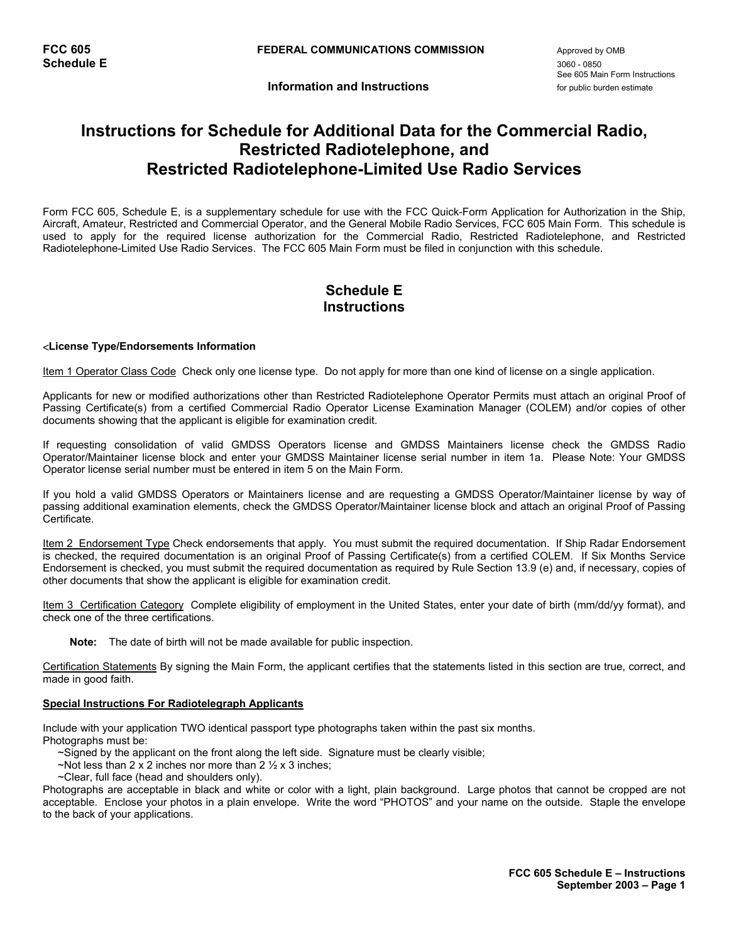See 605 Main Form Instructions

**Information and Instructions** *n**information* **and <b>Instructions** *n in i*s *for public burden estimate* 

# **Instructions for Schedule for Additional Data for the Commercial Radio, Restricted Radiotelephone, and Restricted Radiotelephone-Limited Use Radio Services**

Form FCC 605, Schedule E, is a supplementary schedule for use with the FCC Quick-Form Application for Authorization in the Ship, Aircraft, Amateur, Restricted and Commercial Operator, and the General Mobile Radio Services, FCC 605 Main Form. This schedule is used to apply for the required license authorization for the Commercial Radio, Restricted Radiotelephone, and Restricted Radiotelephone-Limited Use Radio Services. The FCC 605 Main Form must be filed in conjunction with this schedule.

## **Schedule E Instructions**

#### <**License Type/Endorsements Information**

Item 1 Operator Class Code Check only one license type. Do not apply for more than one kind of license on a single application.

Applicants for new or modified authorizations other than Restricted Radiotelephone Operator Permits must attach an original Proof of Passing Certificate(s) from a certified Commercial Radio Operator License Examination Manager (COLEM) and/or copies of other documents showing that the applicant is eligible for examination credit.

If requesting consolidation of valid GMDSS Operators license and GMDSS Maintainers license check the GMDSS Radio Operator/Maintainer license block and enter your GMDSS Maintainer license serial number in item 1a. Please Note: Your GMDSS Operator license serial number must be entered in item 5 on the Main Form.

If you hold a valid GMDSS Operators or Maintainers license and are requesting a GMDSS Operator/Maintainer license by way of passing additional examination elements, check the GMDSS Operator/Maintainer license block and attach an original Proof of Passing Certificate.

Item 2 Endorsement Type Check endorsements that apply. You must submit the required documentation. If Ship Radar Endorsement is checked, the required documentation is an original Proof of Passing Certificate(s) from a certified COLEM. If Six Months Service Endorsement is checked, you must submit the required documentation as required by Rule Section 13.9 (e) and, if necessary, copies of other documents that show the applicant is eligible for examination credit.

Item 3 Certification Category Complete eligibility of employment in the United States, enter your date of birth (mm/dd/yy format), and check one of the three certifications.

**Note:** The date of birth will not be made available for public inspection.

Certification Statements By signing the Main Form, the applicant certifies that the statements listed in this section are true, correct, and made in good faith.

#### **Special Instructions For Radiotelegraph Applicants**

Include with your application TWO identical passport type photographs taken within the past six months. Photographs must be:

- ~Signed by the applicant on the front along the left side. Signature must be clearly visible;
- ~Not less than 2 x 2 inches nor more than 2  $\frac{1}{2}$  x 3 inches;
- ~Clear, full face (head and shoulders only).

Photographs are acceptable in black and white or color with a light, plain background. Large photos that cannot be cropped are not acceptable. Enclose your photos in a plain envelope. Write the word "PHOTOS" and your name on the outside. Staple the envelope to the back of your applications.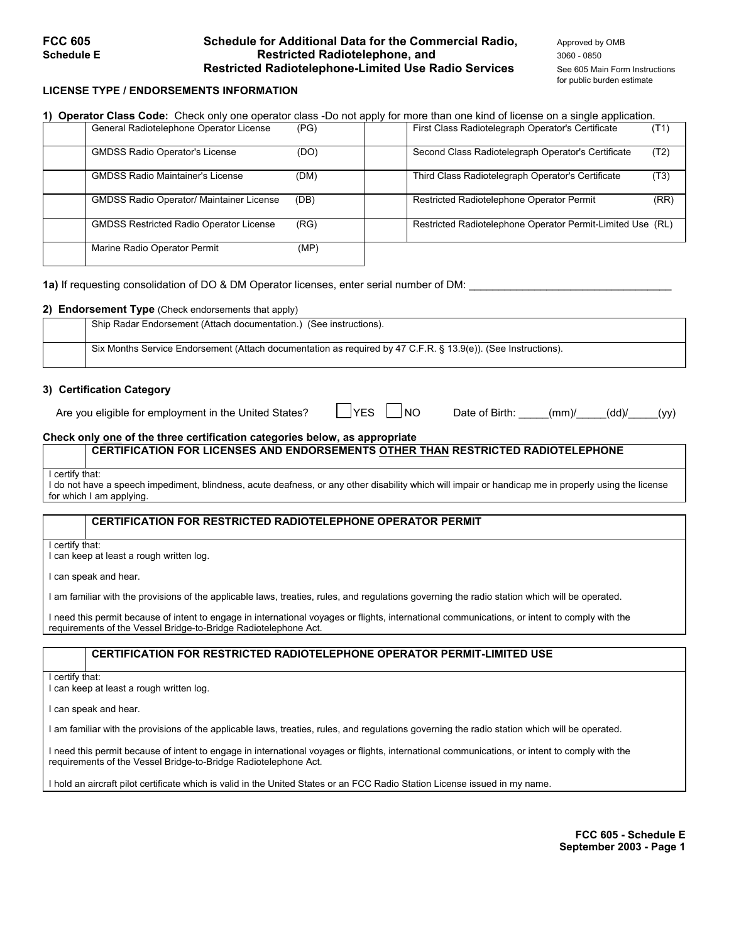## **FCC 605** Schedule for Additional Data for the Commercial Radio, Approved by OMB **Schedule E Restricted Radiotelephone, and** 3060 - 0850 - 0850 **Restricted Radiotelephone-Limited Use Radio Services** See 605 Main Form Instructions

for public burden estimate

### **LICENSE TYPE / ENDORSEMENTS INFORMATION**

| 1) Operator Class Code: Check only one operator class -Do not apply for more than one kind of license on a single application. |      |                                                            |  |
|--------------------------------------------------------------------------------------------------------------------------------|------|------------------------------------------------------------|--|
| General Radiotelephone Operator License                                                                                        | (PG) | First Class Radiotelegraph Operator's Certificate<br>(T1)  |  |
| <b>GMDSS Radio Operator's License</b>                                                                                          | (DO) | Second Class Radiotelegraph Operator's Certificate<br>(T2) |  |
| <b>GMDSS Radio Maintainer's License</b>                                                                                        | (DM) | Third Class Radiotelegraph Operator's Certificate<br>(T3)  |  |
| <b>GMDSS Radio Operator/ Maintainer License</b>                                                                                | (DB) | Restricted Radiotelephone Operator Permit<br>(RR)          |  |
| <b>GMDSS Restricted Radio Operator License</b>                                                                                 | (RG) | Restricted Radiotelephone Operator Permit-Limited Use (RL) |  |
| Marine Radio Operator Permit                                                                                                   | (MP) |                                                            |  |

**1a)** If requesting consolidation of DO & DM Operator licenses, enter serial number of DM:

#### **2) Endorsement Type** (Check endorsements that apply)

| Ship Radar Endorsement (Attach documentation.) (See instructions).                                            |
|---------------------------------------------------------------------------------------------------------------|
| Six Months Service Endorsement (Attach documentation as required by 47 C.F.R. § 13.9(e)). (See Instructions). |

#### **3) Certification Category**

Are you eligible for employment in the United States?  $\Box$  YES  $\Box$  NO Date of Birth: \_\_\_\_(mm)/\_\_\_\_(dd)/\_\_\_\_(yy)

### **Check only one of the three certification categories below, as appropriate**

## **CERTIFICATION FOR LICENSES AND ENDORSEMENTS OTHER THAN RESTRICTED RADIOTELEPHONE**

I certify that:

I do not have a speech impediment, blindness, acute deafness, or any other disability which will impair or handicap me in properly using the license for which I am applying.

#### **CERTIFICATION FOR RESTRICTED RADIOTELEPHONE OPERATOR PERMIT**

I certify that:

I can keep at least a rough written log.

I can speak and hear.

I am familiar with the provisions of the applicable laws, treaties, rules, and regulations governing the radio station which will be operated.

I need this permit because of intent to engage in international voyages or flights, international communications, or intent to comply with the requirements of the Vessel Bridge-to-Bridge Radiotelephone Act.

#### **CERTIFICATION FOR RESTRICTED RADIOTELEPHONE OPERATOR PERMIT-LIMITED USE**

I certify that:

I can keep at least a rough written log.

I can speak and hear.

I am familiar with the provisions of the applicable laws, treaties, rules, and regulations governing the radio station which will be operated.

I need this permit because of intent to engage in international voyages or flights, international communications, or intent to comply with the requirements of the Vessel Bridge-to-Bridge Radiotelephone Act.

I hold an aircraft pilot certificate which is valid in the United States or an FCC Radio Station License issued in my name.

**FCC 605 - Schedule E September 2003 - Page 1**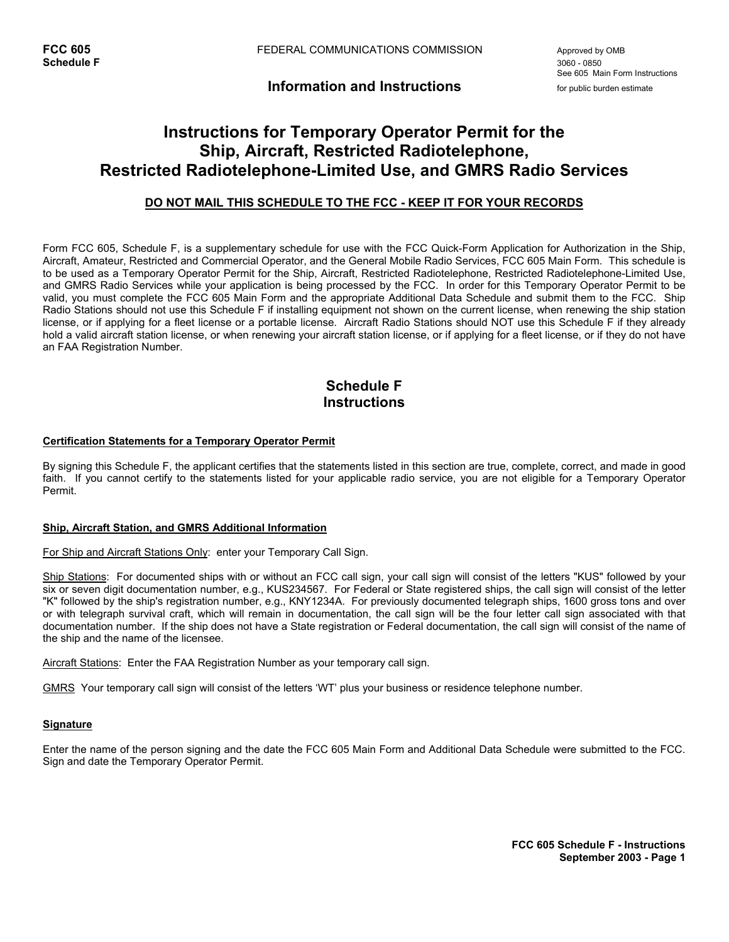**Information and Instructions** *provided to the couplic burden estimate* 

# **Instructions for Temporary Operator Permit for the Ship, Aircraft, Restricted Radiotelephone, Restricted Radiotelephone-Limited Use, and GMRS Radio Services**

## **DO NOT MAIL THIS SCHEDULE TO THE FCC - KEEP IT FOR YOUR RECORDS**

Form FCC 605, Schedule F, is a supplementary schedule for use with the FCC Quick-Form Application for Authorization in the Ship, Aircraft, Amateur, Restricted and Commercial Operator, and the General Mobile Radio Services, FCC 605 Main Form. This schedule is to be used as a Temporary Operator Permit for the Ship, Aircraft, Restricted Radiotelephone, Restricted Radiotelephone-Limited Use, and GMRS Radio Services while your application is being processed by the FCC. In order for this Temporary Operator Permit to be valid, you must complete the FCC 605 Main Form and the appropriate Additional Data Schedule and submit them to the FCC. Ship Radio Stations should not use this Schedule F if installing equipment not shown on the current license, when renewing the ship station license, or if applying for a fleet license or a portable license. Aircraft Radio Stations should NOT use this Schedule F if they already hold a valid aircraft station license, or when renewing your aircraft station license, or if applying for a fleet license, or if they do not have an FAA Registration Number.

## **Schedule F Instructions**

#### **Certification Statements for a Temporary Operator Permit**

By signing this Schedule F, the applicant certifies that the statements listed in this section are true, complete, correct, and made in good faith. If you cannot certify to the statements listed for your applicable radio service, you are not eligible for a Temporary Operator Permit.

#### **Ship, Aircraft Station, and GMRS Additional Information**

For Ship and Aircraft Stations Only: enter your Temporary Call Sign.

Ship Stations: For documented ships with or without an FCC call sign, your call sign will consist of the letters "KUS" followed by your six or seven digit documentation number, e.g., KUS234567. For Federal or State registered ships, the call sign will consist of the letter "K" followed by the ship's registration number, e.g., KNY1234A. For previously documented telegraph ships, 1600 gross tons and over or with telegraph survival craft, which will remain in documentation, the call sign will be the four letter call sign associated with that documentation number. If the ship does not have a State registration or Federal documentation, the call sign will consist of the name of the ship and the name of the licensee.

Aircraft Stations: Enter the FAA Registration Number as your temporary call sign.

GMRS Your temporary call sign will consist of the letters 'WT' plus your business or residence telephone number.

#### **Signature**

Enter the name of the person signing and the date the FCC 605 Main Form and Additional Data Schedule were submitted to the FCC. Sign and date the Temporary Operator Permit.

> **FCC 605 Schedule F - Instructions September 2003 - Page 1**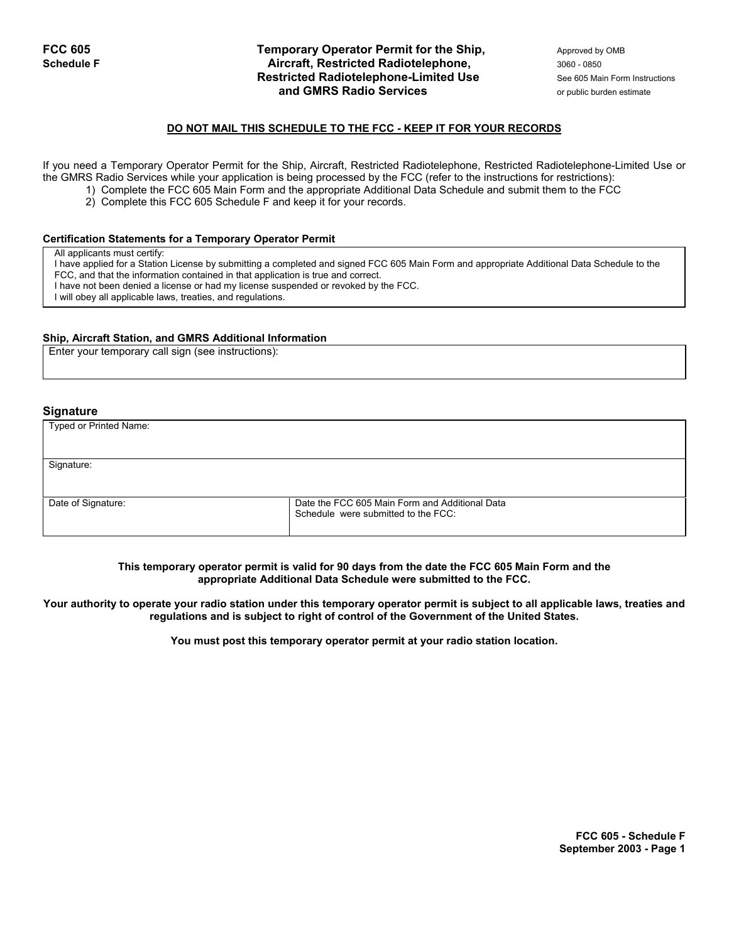### **FCC 605 Temporary Operator Permit for the Ship,** Approved by OMB **Schedule F Aircraft, Restricted Radiotelephone, 3060 - 0850** - 0850 **Restricted Radiotelephone-Limited Use** See 605 Main Form Instructions **and GMRS Radio Services and GMRS Radio Services or public burden estimate**

#### **DO NOT MAIL THIS SCHEDULE TO THE FCC - KEEP IT FOR YOUR RECORDS**

If you need a Temporary Operator Permit for the Ship, Aircraft, Restricted Radiotelephone, Restricted Radiotelephone-Limited Use or the GMRS Radio Services while your application is being processed by the FCC (refer to the instructions for restrictions):

- 1) Complete the FCC 605 Main Form and the appropriate Additional Data Schedule and submit them to the FCC
- 2) Complete this FCC 605 Schedule F and keep it for your records.

#### **Certification Statements for a Temporary Operator Permit**

All applicants must certify:

I have applied for a Station License by submitting a completed and signed FCC 605 Main Form and appropriate Additional Data Schedule to the FCC, and that the information contained in that application is true and correct.

I have not been denied a license or had my license suspended or revoked by the FCC.

I will obey all applicable laws, treaties, and regulations.

#### **Ship, Aircraft Station, and GMRS Additional Information**

Enter your temporary call sign (see instructions):

#### **Signature**

| Typed or Printed Name: |                                                                                       |  |
|------------------------|---------------------------------------------------------------------------------------|--|
|                        |                                                                                       |  |
| Signature:             |                                                                                       |  |
|                        |                                                                                       |  |
| Date of Signature:     | Date the FCC 605 Main Form and Additional Data<br>Schedule were submitted to the FCC: |  |

**This temporary operator permit is valid for 90 days from the date the FCC 605 Main Form and the appropriate Additional Data Schedule were submitted to the FCC.** 

**Your authority to operate your radio station under this temporary operator permit is subject to all applicable laws, treaties and regulations and is subject to right of control of the Government of the United States.**

**You must post this temporary operator permit at your radio station location.**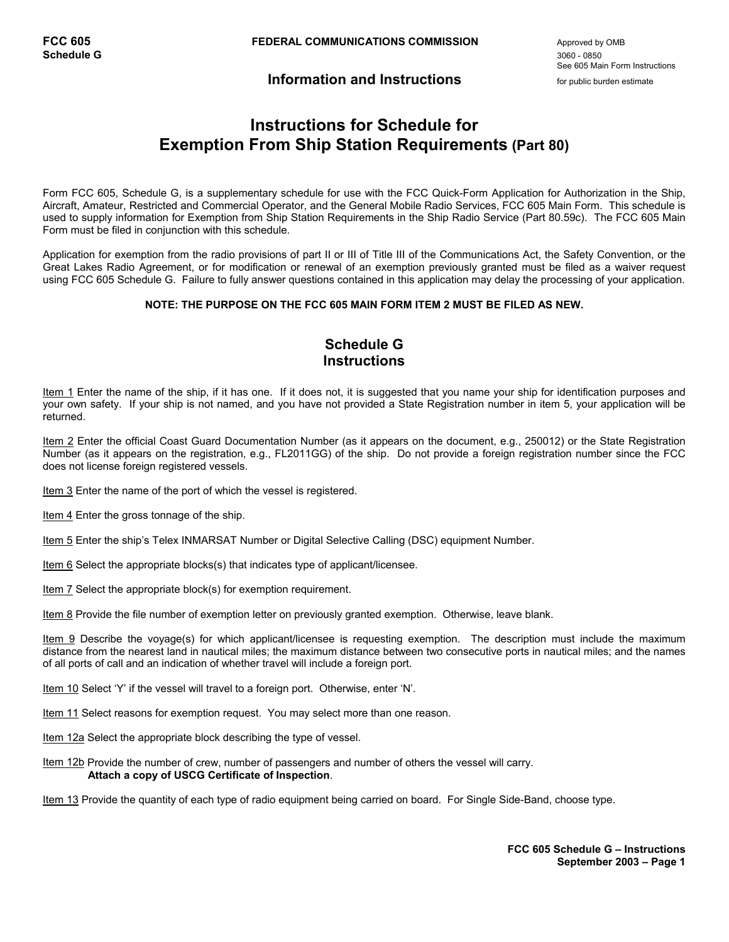## **Information and Instructions** for public burden estimate

See 605 Main Form Instructions

# **Instructions for Schedule for Exemption From Ship Station Requirements (Part 80)**

Form FCC 605, Schedule G, is a supplementary schedule for use with the FCC Quick-Form Application for Authorization in the Ship, Aircraft, Amateur, Restricted and Commercial Operator, and the General Mobile Radio Services, FCC 605 Main Form. This schedule is used to supply information for Exemption from Ship Station Requirements in the Ship Radio Service (Part 80.59c). The FCC 605 Main Form must be filed in conjunction with this schedule.

Application for exemption from the radio provisions of part II or III of Title III of the Communications Act, the Safety Convention, or the Great Lakes Radio Agreement, or for modification or renewal of an exemption previously granted must be filed as a waiver request using FCC 605 Schedule G. Failure to fully answer questions contained in this application may delay the processing of your application.

#### **NOTE: THE PURPOSE ON THE FCC 605 MAIN FORM ITEM 2 MUST BE FILED AS NEW.**

## **Schedule G Instructions**

Item 1 Enter the name of the ship, if it has one. If it does not, it is suggested that you name your ship for identification purposes and your own safety. If your ship is not named, and you have not provided a State Registration number in item 5, your application will be returned.

Item 2 Enter the official Coast Guard Documentation Number (as it appears on the document, e.g., 250012) or the State Registration Number (as it appears on the registration, e.g., FL2011GG) of the ship. Do not provide a foreign registration number since the FCC does not license foreign registered vessels.

Item 3 Enter the name of the port of which the vessel is registered.

Item 4 Enter the gross tonnage of the ship.

Item 5 Enter the ship's Telex INMARSAT Number or Digital Selective Calling (DSC) equipment Number.

Item 6 Select the appropriate blocks(s) that indicates type of applicant/licensee.

Item 7 Select the appropriate block(s) for exemption requirement.

Item 8 Provide the file number of exemption letter on previously granted exemption. Otherwise, leave blank.

Item 9 Describe the voyage(s) for which applicant/licensee is requesting exemption. The description must include the maximum distance from the nearest land in nautical miles; the maximum distance between two consecutive ports in nautical miles; and the names of all ports of call and an indication of whether travel will include a foreign port.

Item 10 Select 'Y' if the vessel will travel to a foreign port. Otherwise, enter 'N'.

Item 11 Select reasons for exemption request. You may select more than one reason.

Item 12a Select the appropriate block describing the type of vessel.

Item 12b Provide the number of crew, number of passengers and number of others the vessel will carry.  **Attach a copy of USCG Certificate of Inspection**.

Item 13 Provide the quantity of each type of radio equipment being carried on board. For Single Side-Band, choose type.

**FCC 605 Schedule G – Instructions September 2003 – Page 1**